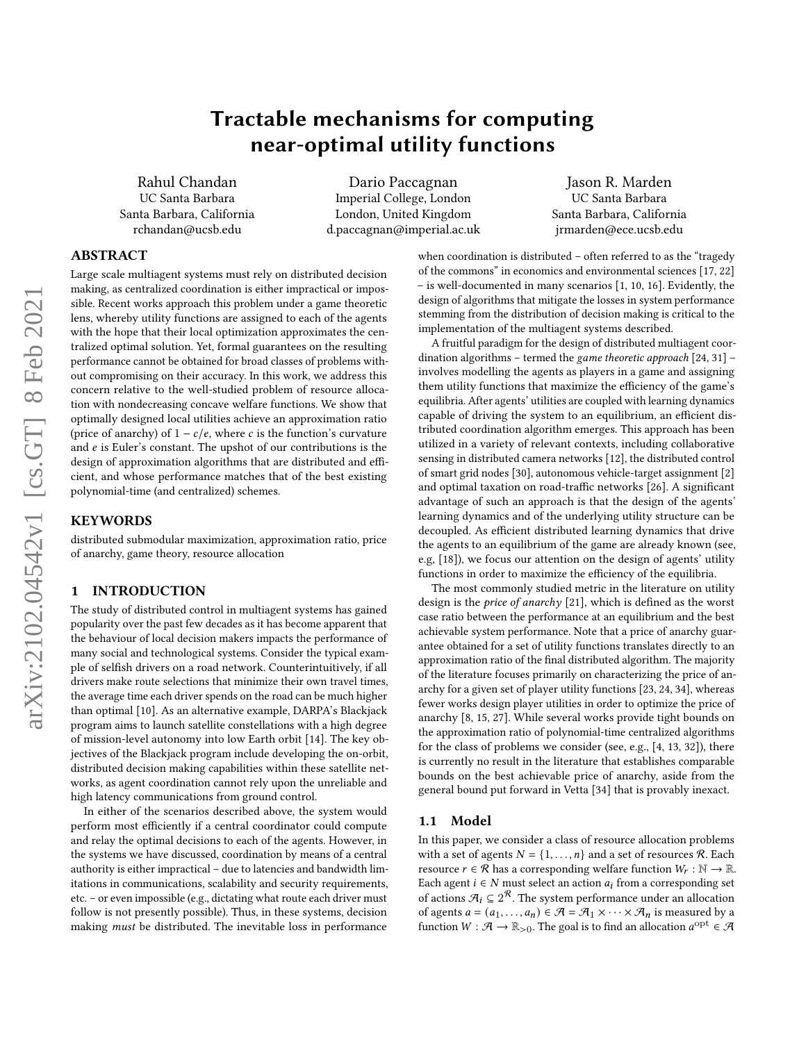# Tractable mechanisms for computing near-optimal utility functions

Rahul Chandan UC Santa Barbara Santa Barbara, California rchandan@ucsb.edu

Dario Paccagnan Imperial College, London London, United Kingdom d.paccagnan@imperial.ac.uk

Jason R. Marden UC Santa Barbara Santa Barbara, California jrmarden@ece.ucsb.edu

# ABSTRACT

Large scale multiagent systems must rely on distributed decision making, as centralized coordination is either impractical or impossible. Recent works approach this problem under a game theoretic lens, whereby utility functions are assigned to each of the agents with the hope that their local optimization approximates the centralized optimal solution. Yet, formal guarantees on the resulting performance cannot be obtained for broad classes of problems without compromising on their accuracy. In this work, we address this concern relative to the well-studied problem of resource allocation with nondecreasing concave welfare functions. We show that optimally designed local utilities achieve an approximation ratio (price of anarchy) of  $1 - c/e$ , where c is the function's curvature and  $e$  is Euler's constant. The upshot of our contributions is the design of approximation algorithms that are distributed and efficient, and whose performance matches that of the best existing polynomial-time (and centralized) schemes.

#### **KEYWORDS**

distributed submodular maximization, approximation ratio, price of anarchy, game theory, resource allocation

## 1 INTRODUCTION

The study of distributed control in multiagent systems has gained popularity over the past few decades as it has become apparent that the behaviour of local decision makers impacts the performance of many social and technological systems. Consider the typical example of selfish drivers on a road network. Counterintuitively, if all drivers make route selections that minimize their own travel times, the average time each driver spends on the road can be much higher than optimal [\[10\]](#page-7-0). As an alternative example, DARPA's Blackjack program aims to launch satellite constellations with a high degree of mission-level autonomy into low Earth orbit [\[14\]](#page-7-1). The key objectives of the Blackjack program include developing the on-orbit, distributed decision making capabilities within these satellite networks, as agent coordination cannot rely upon the unreliable and high latency communications from ground control.

In either of the scenarios described above, the system would perform most efficiently if a central coordinator could compute and relay the optimal decisions to each of the agents. However, in the systems we have discussed, coordination by means of a central authority is either impractical – due to latencies and bandwidth limitations in communications, scalability and security requirements, etc. – or even impossible (e.g., dictating what route each driver must follow is not presently possible). Thus, in these systems, decision making must be distributed. The inevitable loss in performance

when coordination is distributed – often referred to as the "tragedy of the commons" in economics and environmental sciences [\[17,](#page-7-2) [22\]](#page-7-3) – is well-documented in many scenarios [\[1,](#page-7-4) [10,](#page-7-0) [16\]](#page-7-5). Evidently, the design of algorithms that mitigate the losses in system performance stemming from the distribution of decision making is critical to the implementation of the multiagent systems described.

A fruitful paradigm for the design of distributed multiagent coordination algorithms – termed the game theoretic approach  $[24, 31]$  $[24, 31]$  $[24, 31]$  – involves modelling the agents as players in a game and assigning them utility functions that maximize the efficiency of the game's equilibria. After agents' utilities are coupled with learning dynamics capable of driving the system to an equilibrium, an efficient distributed coordination algorithm emerges. This approach has been utilized in a variety of relevant contexts, including collaborative sensing in distributed camera networks [\[12\]](#page-7-8), the distributed control of smart grid nodes [\[30\]](#page-7-9), autonomous vehicle-target assignment [\[2\]](#page-7-10) and optimal taxation on road-traffic networks [\[26\]](#page-7-11). A significant advantage of such an approach is that the design of the agents' learning dynamics and of the underlying utility structure can be decoupled. As efficient distributed learning dynamics that drive the agents to an equilibrium of the game are already known (see, e.g, [\[18\]](#page-7-12)), we focus our attention on the design of agents' utility functions in order to maximize the efficiency of the equilibria.

The most commonly studied metric in the literature on utility design is the price of anarchy [\[21\]](#page-7-13), which is defined as the worst case ratio between the performance at an equilibrium and the best achievable system performance. Note that a price of anarchy guarantee obtained for a set of utility functions translates directly to an approximation ratio of the final distributed algorithm. The majority of the literature focuses primarily on characterizing the price of anarchy for a given set of player utility functions [\[23,](#page-7-14) [24,](#page-7-6) [34\]](#page-7-15), whereas fewer works design player utilities in order to optimize the price of anarchy [\[8,](#page-7-16) [15,](#page-7-17) [27\]](#page-7-18). While several works provide tight bounds on the approximation ratio of polynomial-time centralized algorithms for the class of problems we consider (see, e.g., [\[4,](#page-7-19) [13,](#page-7-20) [32\]](#page-7-21)), there is currently no result in the literature that establishes comparable bounds on the best achievable price of anarchy, aside from the general bound put forward in Vetta [\[34\]](#page-7-15) that is provably inexact.

#### 1.1 Model

In this paper, we consider a class of resource allocation problems with a set of agents  $N = \{1, ..., n\}$  and a set of resources  $\Re$ . Each resource  $r \in \mathcal{R}$  has a corresponding welfare function  $W_r : \mathbb{N} \to \mathbb{R}$ . Each agent  $i \in N$  must select an action  $a_i$  from a corresponding set of actions  $\mathcal{A}_i \subseteq 2^{\mathcal{R}}$ . The system performance under an allocation of agents  $a = (a_1, \ldots, a_n) \in \mathcal{A} = \mathcal{A}_1 \times \cdots \times \mathcal{A}_n$  is measured by a function  $W : \mathcal{A} \to \mathbb{R}_{>0}$ . The goal is to find an allocation  $a^{\text{opt}} \in \mathcal{A}$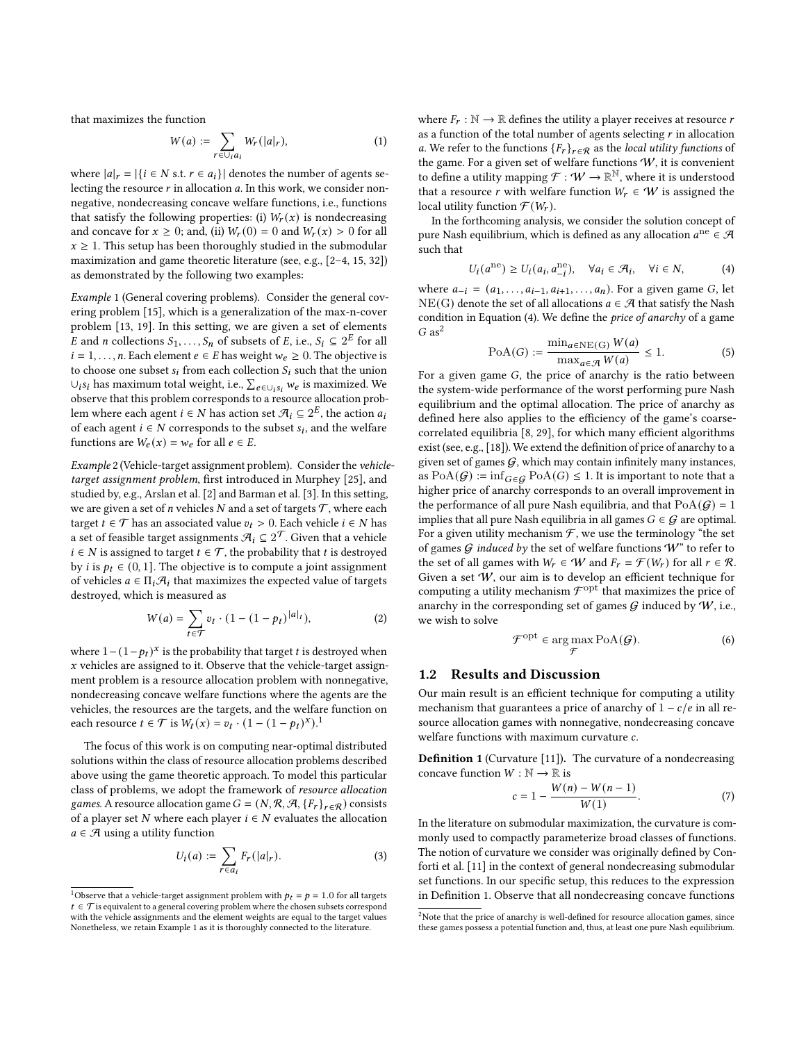that maximizes the function

<span id="page-1-6"></span>
$$
W(a) := \sum_{r \in \bigcup_i a_i} W_r(|a|_r),\tag{1}
$$

where  $|a|_r = |\{i \in N \text{ s.t. } r \in a_i\}|$  denotes the number of agents selecting the resource  $r$  in allocation  $a$ . In this work, we consider nonnegative, nondecreasing concave welfare functions, i.e., functions that satisfy the following properties: (i)  $W_r(x)$  is nondecreasing and concave for  $x \ge 0$ ; and, (ii)  $W_r(0) = 0$  and  $W_r(x) > 0$  for all  $x \geq 1$ . This setup has been thoroughly studied in the submodular maximization and game theoretic literature (see, e.g., [\[2–](#page-7-10)[4,](#page-7-19) [15,](#page-7-17) [32\]](#page-7-21)) as demonstrated by the following two examples:

<span id="page-1-1"></span>Example 1 (General covering problems). Consider the general covering problem [\[15\]](#page-7-17), which is a generalization of the max-n-cover problem [\[13,](#page-7-20) [19\]](#page-7-22). In this setting, we are given a set of elements E and *n* collections  $S_1, \ldots, S_n$  of subsets of E, i.e.,  $S_i \subseteq 2^E$  for all  $i = 1, \ldots, n$ . Each element  $e \in E$  has weight  $w_e \ge 0$ . The objective is to choose one subset  $s_i$  from each collection  $S_i$  such that the union ∪<sub>i</sub>s<sub>i</sub> has maximum total weight, i.e.,  $\sum_{e \in \bigcup_{i} s_i} w_e$  is maximized. We observe that this problem corresponds to a resource allocation problem where each agent  $i \in N$  has action set  $\mathcal{A}_i \subseteq 2^E$ , the action  $a_i$ of each agent  $i \in N$  corresponds to the subset  $s_i$ , and the welfare functions are  $W_e(x) = w_e$  for all  $e \in E$ .

<span id="page-1-5"></span>Example 2 (Vehicle-target assignment problem). Consider the vehicletarget assignment problem, first introduced in Murphey [\[25\]](#page-7-23), and studied by, e.g., Arslan et al. [\[2\]](#page-7-10) and Barman et al. [\[3\]](#page-7-24). In this setting, we are given a set of *n* vehicles *N* and a set of targets  $T$ , where each target  $t \in \mathcal{T}$  has an associated value  $v_t > 0$ . Each vehicle  $i \in N$  has a set of feasible target assignments  $\mathcal{A}_i \subseteq 2^\mathcal{T}$ . Given that a vehicle  $i \in N$  is assigned to target  $t \in \mathcal{T}$ , the probability that t is destroyed by *i* is  $p_t \in (0, 1]$ . The objective is to compute a joint assignment of vehicles  $a \in \Pi_i \mathcal{A}_i$  that maximizes the expected value of targets destroyed, which is measured as

$$
W(a) = \sum_{t \in \mathcal{T}} v_t \cdot (1 - (1 - p_t)^{|a|_t}), \tag{2}
$$

where  $1 - (1 - p_t)^x$  is the probability that target *t* is destroyed when  $x$  vehicles are assigned to it. Observe that the vehicle-target assignment problem is a resource allocation problem with nonnegative, nondecreasing concave welfare functions where the agents are the vehicles, the resources are the targets, and the welfare function on each resource  $t \in \mathcal{T}$  is  $W_t(x) = v_t \cdot (1 - (1 - p_t)^x)^{1/2}$  $W_t(x) = v_t \cdot (1 - (1 - p_t)^x)^{1/2}$  $W_t(x) = v_t \cdot (1 - (1 - p_t)^x)^{1/2}$ 

The focus of this work is on computing near-optimal distributed solutions within the class of resource allocation problems described above using the game theoretic approach. To model this particular class of problems, we adopt the framework of resource allocation games. A resource allocation game  $G = (N, \mathcal{R}, \mathcal{A}, \{F_r\}_{r \in \mathcal{R}})$  consists of a player set  $N$  where each player  $i \in N$  evaluates the allocation  $a \in \mathcal{A}$  using a utility function

$$
U_i(a) := \sum_{r \in a_i} F_r(|a|_r). \tag{3}
$$

where  $F_r : \mathbb{N} \to \mathbb{R}$  defines the utility a player receives at resource r as a function of the total number of agents selecting  $r$  in allocation a. We refer to the functions  ${F_r}_{r \in \mathcal{R}}$  as the local utility functions of the game. For a given set of welfare functions  $W$ , it is convenient to define a utility mapping  $\mathcal{F}: W \to \mathbb{R}^{\mathbb{N}}$ , where it is understood that a resource r with welfare function  $W_r \in W$  is assigned the local utility function  $\mathcal{F}(W_r)$ .

In the forthcoming analysis, we consider the solution concept of pure Nash equilibrium, which is defined as any allocation  $a^{ne} \in \mathcal{A}$ such that

<span id="page-1-2"></span>
$$
U_i(a^{ne}) \ge U_i(a_i, a_{-i}^{ne}), \quad \forall a_i \in \mathcal{A}_i, \quad \forall i \in \mathbb{N}, \tag{4}
$$

where  $a_{-i} = (a_1, \ldots, a_{i-1}, a_{i+1}, \ldots, a_n)$ . For a given game G, let NE(G) denote the set of all allocations  $a \in \mathcal{A}$  that satisfy the Nash condition in Equation [\(4\)](#page-1-2). We define the price of anarchy of a game  $G$  as<sup>[2](#page-1-3)</sup>

$$
\text{PoA}(G) := \frac{\min_{a \in \text{NE}(G)} W(a)}{\max_{a \in \mathcal{A}} W(a)} \le 1. \tag{5}
$$

For a given game  $G$ , the price of anarchy is the ratio between the system-wide performance of the worst performing pure Nash equilibrium and the optimal allocation. The price of anarchy as defined here also applies to the efficiency of the game's coarsecorrelated equilibria [\[8,](#page-7-16) [29\]](#page-7-25), for which many efficient algorithms exist (see, e.g., [\[18\]](#page-7-12)). We extend the definition of price of anarchy to a given set of games  $G$ , which may contain infinitely many instances, as  $PoA(G) := \inf_{G \in \mathcal{G}} PoA(G) \leq 1$ . It is important to note that a higher price of anarchy corresponds to an overall improvement in the performance of all pure Nash equilibria, and that  $PoA(G) = 1$ implies that all pure Nash equilibria in all games  $G \in \mathcal{G}$  are optimal. For a given utility mechanism  $\mathcal F$ , we use the terminology "the set of games  $G$  induced by the set of welfare functions  $W^*$  to refer to the set of all games with  $W_r \in W$  and  $F_r = \mathcal{F}(W_r)$  for all  $r \in \mathcal{R}$ . Given a set  $W$ , our aim is to develop an efficient technique for computing a utility mechanism  $\mathcal{F}^{\text{opt}}$  that maximizes the price of anarchy in the corresponding set of games  $G$  induced by  $W$ , i.e., we wish to solve

$$
\mathcal{F}^{\text{opt}} \in \arg\max_{\mathcal{F}} \text{PoA}(\mathcal{G}).\tag{6}
$$

## <span id="page-1-7"></span>1.2 Results and Discussion

Our main result is an efficient technique for computing a utility mechanism that guarantees a price of anarchy of  $1 - c/e$  in all resource allocation games with nonnegative, nondecreasing concave welfare functions with maximum curvature  $c$ .

<span id="page-1-4"></span>Definition 1 (Curvature [\[11\]](#page-7-26)). The curvature of a nondecreasing concave function  $W : \mathbb{N} \to \mathbb{R}$  is

$$
c = 1 - \frac{W(n) - W(n-1)}{W(1)}.
$$
 (7)

In the literature on submodular maximization, the curvature is commonly used to compactly parameterize broad classes of functions. The notion of curvature we consider was originally defined by Conforti et al. [\[11\]](#page-7-26) in the context of general nondecreasing submodular set functions. In our specific setup, this reduces to the expression in Definition [1.](#page-1-4) Observe that all nondecreasing concave functions

<span id="page-1-0"></span><sup>&</sup>lt;sup>1</sup>Observe that a vehicle-target assignment problem with  $p_t = p = 1.0$  for all targets  $t \in \mathcal{T}$  is equivalent to a general covering problem where the chosen subsets correspond with the vehicle assignments and the element weights are equal to the target values Nonetheless, we retain Example [1](#page-1-1) as it is thoroughly connected to the literature.

<span id="page-1-3"></span><sup>&</sup>lt;sup>2</sup>Note that the price of anarchy is well-defined for resource allocation games, since these games possess a potential function and, thus, at least one pure Nash equilibrium.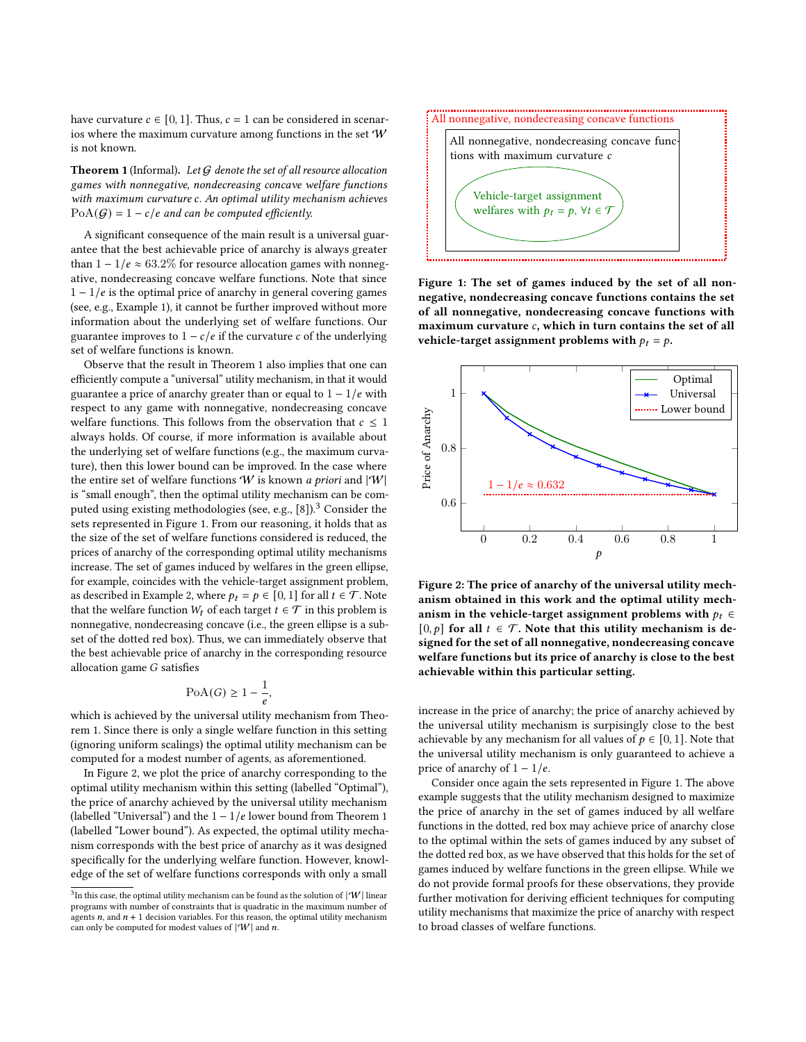have curvature  $c \in [0, 1]$ . Thus,  $c = 1$  can be considered in scenarios where the maximum curvature among functions in the set  $W$ is not known.

<span id="page-2-0"></span>**Theorem 1** (Informal). Let  $G$  denote the set of all resource allocation games with nonnegative, nondecreasing concave welfare functions with maximum curvature c. An optimal utility mechanism achieves  $PoA(G) = 1 - c/e$  and can be computed efficiently.

A significant consequence of the main result is a universal guarantee that the best achievable price of anarchy is always greater than  $1 - 1/e \approx 63.2\%$  for resource allocation games with nonnegative, nondecreasing concave welfare functions. Note that since  $1 - 1/e$  is the optimal price of anarchy in general covering games (see, e.g., Example [1\)](#page-1-1), it cannot be further improved without more information about the underlying set of welfare functions. Our guarantee improves to  $1 - c/e$  if the curvature  $c$  of the underlying set of welfare functions is known.

Observe that the result in Theorem [1](#page-2-0) also implies that one can efficiently compute a "universal" utility mechanism, in that it would guarantee a price of anarchy greater than or equal to  $1 - 1/e$  with respect to any game with nonnegative, nondecreasing concave welfare functions. This follows from the observation that  $c \leq 1$ always holds. Of course, if more information is available about the underlying set of welfare functions (e.g., the maximum curvature), then this lower bound can be improved. In the case where the entire set of welfare functions  $W$  is known a priori and  $|W|$ is "small enough", then the optimal utility mechanism can be com-puted using existing methodologies (see, e.g., [\[8\]](#page-7-16)).<sup>[3](#page-2-1)</sup> Consider the sets represented in Figure [1.](#page-2-2) From our reasoning, it holds that as the size of the set of welfare functions considered is reduced, the prices of anarchy of the corresponding optimal utility mechanisms increase. The set of games induced by welfares in the green ellipse, for example, coincides with the vehicle-target assignment problem, as described in Example [2,](#page-1-5) where  $p_t = p \in [0, 1]$  for all  $t \in \mathcal{T}$ . Note that the welfare function  $W_t$  of each target  $t \in \mathcal{T}$  in this problem is nonnegative, nondecreasing concave (i.e., the green ellipse is a subset of the dotted red box). Thus, we can immediately observe that the best achievable price of anarchy in the corresponding resource allocation game  $G$  satisfies

$$
\text{PoA}(G) \ge 1 - \frac{1}{e},
$$

which is achieved by the universal utility mechanism from Theorem [1.](#page-2-0) Since there is only a single welfare function in this setting (ignoring uniform scalings) the optimal utility mechanism can be computed for a modest number of agents, as aforementioned.

In Figure [2,](#page-2-3) we plot the price of anarchy corresponding to the optimal utility mechanism within this setting (labelled "Optimal"), the price of anarchy achieved by the universal utility mechanism (labelled "Universal") and the  $1 - 1/e$  $1 - 1/e$  $1 - 1/e$  lower bound from Theorem 1 (labelled "Lower bound"). As expected, the optimal utility mechanism corresponds with the best price of anarchy as it was designed specifically for the underlying welfare function. However, knowledge of the set of welfare functions corresponds with only a small

<span id="page-2-2"></span>

Figure 1: The set of games induced by the set of all nonnegative, nondecreasing concave functions contains the set of all nonnegative, nondecreasing concave functions with maximum curvature  $c$ , which in turn contains the set of all vehicle-target assignment problems with  $p_t = p$ .

<span id="page-2-3"></span>

Figure 2: The price of anarchy of the universal utility mechanism obtained in this work and the optimal utility mechanism in the vehicle-target assignment problems with  $p_t \in$ [0, p] for all  $t \in \mathcal{T}$ . Note that this utility mechanism is designed for the set of all nonnegative, nondecreasing concave welfare functions but its price of anarchy is close to the best achievable within this particular setting.

increase in the price of anarchy; the price of anarchy achieved by the universal utility mechanism is surpisingly close to the best achievable by any mechanism for all values of  $p \in [0, 1]$ . Note that the universal utility mechanism is only guaranteed to achieve a price of anarchy of  $1 - 1/e$ .

Consider once again the sets represented in Figure [1.](#page-2-2) The above example suggests that the utility mechanism designed to maximize the price of anarchy in the set of games induced by all welfare functions in the dotted, red box may achieve price of anarchy close to the optimal within the sets of games induced by any subset of the dotted red box, as we have observed that this holds for the set of games induced by welfare functions in the green ellipse. While we do not provide formal proofs for these observations, they provide further motivation for deriving efficient techniques for computing utility mechanisms that maximize the price of anarchy with respect to broad classes of welfare functions.

<span id="page-2-1"></span> $3$ In this case, the optimal utility mechanism can be found as the solution of  $|\Psi|$  linear programs with number of constraints that is quadratic in the maximum number of agents  $n$ , and  $n + 1$  decision variables. For this reason, the optimal utility mechanism can only be computed for modest values of  $|\mathcal{W}|$  and n.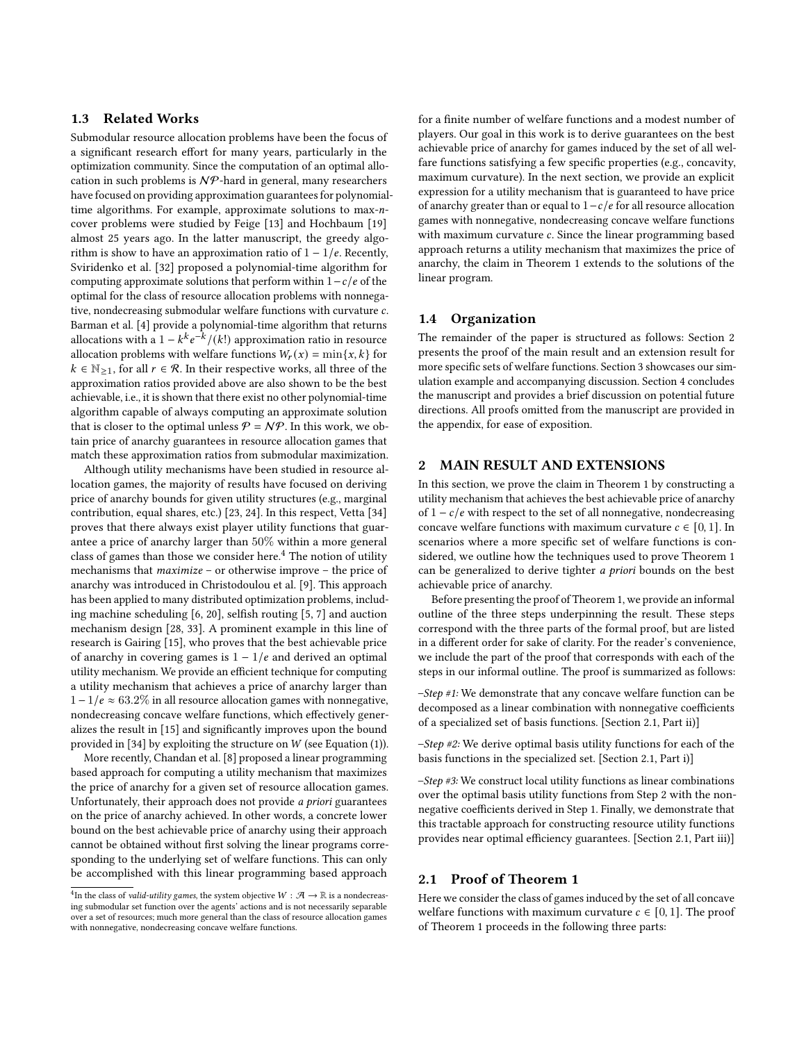## 1.3 Related Works

Submodular resource allocation problems have been the focus of a significant research effort for many years, particularly in the optimization community. Since the computation of an optimal allocation in such problems is  $N\mathcal{P}$ -hard in general, many researchers have focused on providing approximation guarantees for polynomialtime algorithms. For example, approximate solutions to max-ncover problems were studied by Feige [\[13\]](#page-7-20) and Hochbaum [\[19\]](#page-7-22) almost 25 years ago. In the latter manuscript, the greedy algorithm is show to have an approximation ratio of  $1 - 1/e$ . Recently, Sviridenko et al. [\[32\]](#page-7-21) proposed a polynomial-time algorithm for computing approximate solutions that perform within  $1-c/e$  of the optimal for the class of resource allocation problems with nonnegative, nondecreasing submodular welfare functions with curvature  $c$ . Barman et al. [\[4\]](#page-7-19) provide a polynomial-time algorithm that returns allocations with a  $1 - k^k e^{-k} / (k!)$  approximation ratio in resource allocation problems with welfare functions  $W_r(x) = \min\{x, k\}$  for  $k \in \mathbb{N}_{\geq 1}$ , for all  $r \in \mathcal{R}$ . In their respective works, all three of the approximation ratios provided above are also shown to be the best achievable, i.e., it is shown that there exist no other polynomial-time algorithm capable of always computing an approximate solution that is closer to the optimal unless  $P = N P$ . In this work, we obtain price of anarchy guarantees in resource allocation games that match these approximation ratios from submodular maximization.

Although utility mechanisms have been studied in resource allocation games, the majority of results have focused on deriving price of anarchy bounds for given utility structures (e.g., marginal contribution, equal shares, etc.) [\[23,](#page-7-14) [24\]](#page-7-6). In this respect, Vetta [\[34\]](#page-7-15) proves that there always exist player utility functions that guarantee a price of anarchy larger than 50% within a more general class of games than those we consider here.<sup>[4](#page-3-0)</sup> The notion of utility mechanisms that maximize – or otherwise improve – the price of anarchy was introduced in Christodoulou et al. [\[9\]](#page-7-27). This approach has been applied to many distributed optimization problems, including machine scheduling [\[6,](#page-7-28) [20\]](#page-7-29), selfish routing [\[5,](#page-7-30) [7\]](#page-7-31) and auction mechanism design [\[28,](#page-7-32) [33\]](#page-7-33). A prominent example in this line of research is Gairing [\[15\]](#page-7-17), who proves that the best achievable price of anarchy in covering games is  $1 - 1/e$  and derived an optimal utility mechanism. We provide an efficient technique for computing a utility mechanism that achieves a price of anarchy larger than  $1 - 1/e \approx 63.2\%$  in all resource allocation games with nonnegative, nondecreasing concave welfare functions, which effectively generalizes the result in [\[15\]](#page-7-17) and significantly improves upon the bound provided in [\[34\]](#page-7-15) by exploiting the structure on  $W$  (see Equation [\(1\)](#page-1-6)).

More recently, Chandan et al. [\[8\]](#page-7-16) proposed a linear programming based approach for computing a utility mechanism that maximizes the price of anarchy for a given set of resource allocation games. Unfortunately, their approach does not provide a priori guarantees on the price of anarchy achieved. In other words, a concrete lower bound on the best achievable price of anarchy using their approach cannot be obtained without first solving the linear programs corresponding to the underlying set of welfare functions. This can only be accomplished with this linear programming based approach

for a finite number of welfare functions and a modest number of players. Our goal in this work is to derive guarantees on the best achievable price of anarchy for games induced by the set of all welfare functions satisfying a few specific properties (e.g., concavity, maximum curvature). In the next section, we provide an explicit expression for a utility mechanism that is guaranteed to have price of anarchy greater than or equal to  $1-c/e$  for all resource allocation games with nonnegative, nondecreasing concave welfare functions with maximum curvature  $c$ . Since the linear programming based approach returns a utility mechanism that maximizes the price of anarchy, the claim in Theorem [1](#page-2-0) extends to the solutions of the linear program.

# 1.4 Organization

The remainder of the paper is structured as follows: Section [2](#page-3-1) presents the proof of the main result and an extension result for more specific sets of welfare functions. Section [3](#page-5-0) showcases our simulation example and accompanying discussion. Section [4](#page-6-0) concludes the manuscript and provides a brief discussion on potential future directions. All proofs omitted from the manuscript are provided in the appendix, for ease of exposition.

#### <span id="page-3-1"></span>2 MAIN RESULT AND EXTENSIONS

In this section, we prove the claim in Theorem [1](#page-2-0) by constructing a utility mechanism that achieves the best achievable price of anarchy of  $1 - c/e$  with respect to the set of all nonnegative, nondecreasing concave welfare functions with maximum curvature  $c \in [0, 1]$ . In scenarios where a more specific set of welfare functions is considered, we outline how the techniques used to prove Theorem [1](#page-2-0) can be generalized to derive tighter a priori bounds on the best achievable price of anarchy.

Before presenting the proof of Theorem [1,](#page-2-0) we provide an informal outline of the three steps underpinning the result. These steps correspond with the three parts of the formal proof, but are listed in a different order for sake of clarity. For the reader's convenience, we include the part of the proof that corresponds with each of the steps in our informal outline. The proof is summarized as follows:

–Step #1: We demonstrate that any concave welfare function can be decomposed as a linear combination with nonnegative coefficients of a specialized set of basis functions. [Section [2.1,](#page-3-2) Part ii)]

 $-$ Step #2: We derive optimal basis utility functions for each of the basis functions in the specialized set. [Section [2.1,](#page-3-2) Part i)]

 $-Step \#3$ : We construct local utility functions as linear combinations over the optimal basis utility functions from Step 2 with the nonnegative coefficients derived in Step 1. Finally, we demonstrate that this tractable approach for constructing resource utility functions provides near optimal efficiency guarantees. [Section [2.1,](#page-3-2) Part iii)]

#### <span id="page-3-2"></span>2.1 Proof of Theorem [1](#page-2-0)

Here we consider the class of games induced by the set of all concave welfare functions with maximum curvature  $c \in [0, 1]$ . The proof of Theorem [1](#page-2-0) proceeds in the following three parts:

<span id="page-3-0"></span><sup>&</sup>lt;sup>4</sup>In the class of *valid-utility games*, the system objective  $W : \mathcal{A} \rightarrow \mathbb{R}$  is a nondecreasing submodular set function over the agents' actions and is not necessarily separable over a set of resources; much more general than the class of resource allocation games with nonnegative, nondecreasing concave welfare functions.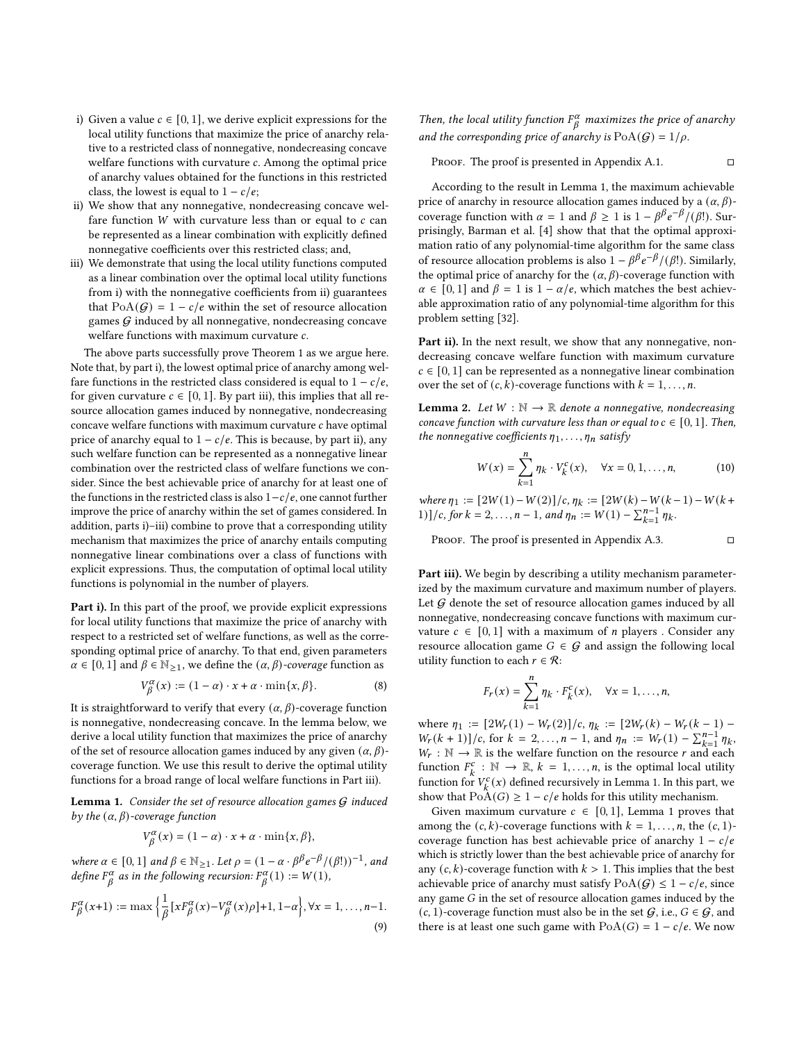- i) Given a value  $c \in [0, 1]$ , we derive explicit expressions for the local utility functions that maximize the price of anarchy relative to a restricted class of nonnegative, nondecreasing concave welfare functions with curvature  $c$ . Among the optimal price of anarchy values obtained for the functions in this restricted class, the lowest is equal to  $1 - c/e$ ;
- ii) We show that any nonnegative, nondecreasing concave welfare function  $W$  with curvature less than or equal to  $c$  can be represented as a linear combination with explicitly defined nonnegative coefficients over this restricted class; and,
- iii) We demonstrate that using the local utility functions computed as a linear combination over the optimal local utility functions from i) with the nonnegative coefficients from ii) guarantees that  $PoA(G) = 1 - c/e$  within the set of resource allocation games  $G$  induced by all nonnegative, nondecreasing concave welfare functions with maximum curvature  $c$ .

The above parts successfully prove Theorem [1](#page-2-0) as we argue here. Note that, by part i), the lowest optimal price of anarchy among welfare functions in the restricted class considered is equal to  $1 - c/e$ , for given curvature  $c \in [0, 1]$ . By part iii), this implies that all resource allocation games induced by nonnegative, nondecreasing concave welfare functions with maximum curvature  $c$  have optimal price of anarchy equal to  $1 - c/e$ . This is because, by part ii), any such welfare function can be represented as a nonnegative linear combination over the restricted class of welfare functions we consider. Since the best achievable price of anarchy for at least one of the functions in the restricted class is also  $1-c/e$ , one cannot further improve the price of anarchy within the set of games considered. In addition, parts i)–iii) combine to prove that a corresponding utility mechanism that maximizes the price of anarchy entails computing nonnegative linear combinations over a class of functions with explicit expressions. Thus, the computation of optimal local utility functions is polynomial in the number of players.

Part i). In this part of the proof, we provide explicit expressions for local utility functions that maximize the price of anarchy with respect to a restricted set of welfare functions, as well as the corresponding optimal price of anarchy. To that end, given parameters  $\alpha \in [0, 1]$  and  $\beta \in \mathbb{N}_{\geq 1}$ , we define the  $(\alpha, \beta)$ -coverage function as

$$
V_{\beta}^{\alpha}(x) := (1 - \alpha) \cdot x + \alpha \cdot \min\{x, \beta\}.
$$
 (8)

It is straightforward to verify that every  $(\alpha, \beta)$ -coverage function is nonnegative, nondecreasing concave. In the lemma below, we derive a local utility function that maximizes the price of anarchy of the set of resource allocation games induced by any given  $(\alpha, \beta)$ coverage function. We use this result to derive the optimal utility functions for a broad range of local welfare functions in Part iii).

<span id="page-4-0"></span>**Lemma 1.** Consider the set of resource allocation games  $G$  induced by the  $(\alpha, \beta)$ -coverage function

$$
V_{\beta}^{\alpha}(x) = (1 - \alpha) \cdot x + \alpha \cdot \min\{x, \beta\},\
$$

where  $\alpha \in [0, 1]$  and  $\beta \in \mathbb{N}_{\geq 1}$ . Let  $\rho = (1 - \alpha \cdot \beta^{\beta} e^{-\beta} / (\beta!) )^{-1}$ , and define  $F^{\alpha}_{\beta}$  as in the following recursion:  $F^{\alpha}_{\beta}(1) := W(1)$ ,

$$
F^{\alpha}_{\beta}(x+1) := \max\left\{\frac{1}{\beta}\left[xF^{\alpha}_{\beta}(x) - V^{\alpha}_{\beta}(x)\rho\right] + 1, 1 - \alpha\right\}, \forall x = 1, \dots, n-1.
$$
\n(9)

Then, the local utility function  $F^{\alpha}_{\beta}$  maximizes the price of anarchy and the corresponding price of anarchy is  $PoA(G) = 1/\rho$ .

PROOF. The proof is presented in Appendix A.1.  $\Box$ 

According to the result in Lemma [1,](#page-4-0) the maximum achievable price of anarchy in resource allocation games induced by a  $(\alpha, \beta)$ coverage function with  $\alpha = 1$  and  $\beta \ge 1$  is  $1 - \beta \beta e^{-\beta} / (\beta!)$ . Surprisingly, Barman et al. [\[4\]](#page-7-19) show that that the optimal approximation ratio of any polynomial-time algorithm for the same class of resource allocation problems is also  $1 - \beta^{\beta} e^{-\beta} / (\beta!)$ . Similarly, the optimal price of anarchy for the  $(\alpha, \beta)$ -coverage function with  $\alpha \in [0, 1]$  and  $\beta = 1$  is  $1 - \alpha/e$ , which matches the best achievable approximation ratio of any polynomial-time algorithm for this problem setting [\[32\]](#page-7-21).

Part ii). In the next result, we show that any nonnegative, nondecreasing concave welfare function with maximum curvature  $c \in [0, 1]$  can be represented as a nonnegative linear combination over the set of  $(c, k)$ -coverage functions with  $k = 1, ..., n$ .

<span id="page-4-1"></span>**Lemma 2.** Let  $W : \mathbb{N} \to \mathbb{R}$  denote a nonnegative, nondecreasing concave function with curvature less than or equal to  $c \in [0, 1]$ . Then, the nonnegative coefficients  $\eta_1, \ldots, \eta_n$  satisfy

$$
W(x) = \sum_{k=1}^{n} \eta_k \cdot V_k^c(x), \quad \forall x = 0, 1, ..., n,
$$
 (10)

where  $\eta_1 := [2W(1) - W(2)]/c$ ,  $\eta_k := [2W(k) - W(k-1) - W(k+1)]$ 1)]/c, for  $k = 2, ..., n - 1$ , and  $\eta_n := W(1) - \sum_{k=1}^{n-1} \eta_k$ .

PROOF. The proof is presented in Appendix A.3.  $\square$ 

Part iii). We begin by describing a utility mechanism parameterized by the maximum curvature and maximum number of players. Let  $G$  denote the set of resource allocation games induced by all nonnegative, nondecreasing concave functions with maximum curvature  $c \in [0, 1]$  with a maximum of *n* players. Consider any resource allocation game  $G \in \mathcal{G}$  and assign the following local utility function to each  $r \in \mathcal{R}$ :

$$
F_r(x) = \sum_{k=1}^n \eta_k \cdot F_k^c(x), \quad \forall x = 1, \dots, n,
$$

where  $\eta_1 := [2W_r(1) - W_r(2)]/c$ ,  $\eta_k := [2W_r(k) - W_r(k-1) W_r(k+1)/c$ , for  $k = 2,...,n-1$ , and  $\eta_n := W_r(1) - \sum_{k=1}^{n-1} \eta_k$ ,  $W_r : \mathbb{N} \to \mathbb{R}$  is the welfare function on the resource r and each function  $F_k^c : \mathbb{N} \to \mathbb{R}$ ,  $k = 1, ..., n$ , is the optimal local utility function for  $V_k^c(x)$  defined recursively in Lemma [1.](#page-4-0) In this part, we show that  $PoA(G) \geq 1 - c/e$  holds for this utility mechanism.

Given maximum curvature  $c \in [0,1]$ , Lemma [1](#page-4-0) proves that among the  $(c, k)$ -coverage functions with  $k = 1, ..., n$ , the  $(c, 1)$ coverage function has best achievable price of anarchy  $1 - c/e$ which is strictly lower than the best achievable price of anarchy for any  $(c, k)$ -coverage function with  $k > 1$ . This implies that the best achievable price of anarchy must satisfy  $PoA(G) \leq 1 - c/e$ , since any game  $G$  in the set of resource allocation games induced by the  $(c, 1)$ -coverage function must also be in the set  $G$ , i.e.,  $G \in G$ , and there is at least one such game with  $PoA(G) = 1 - c/e$ . We now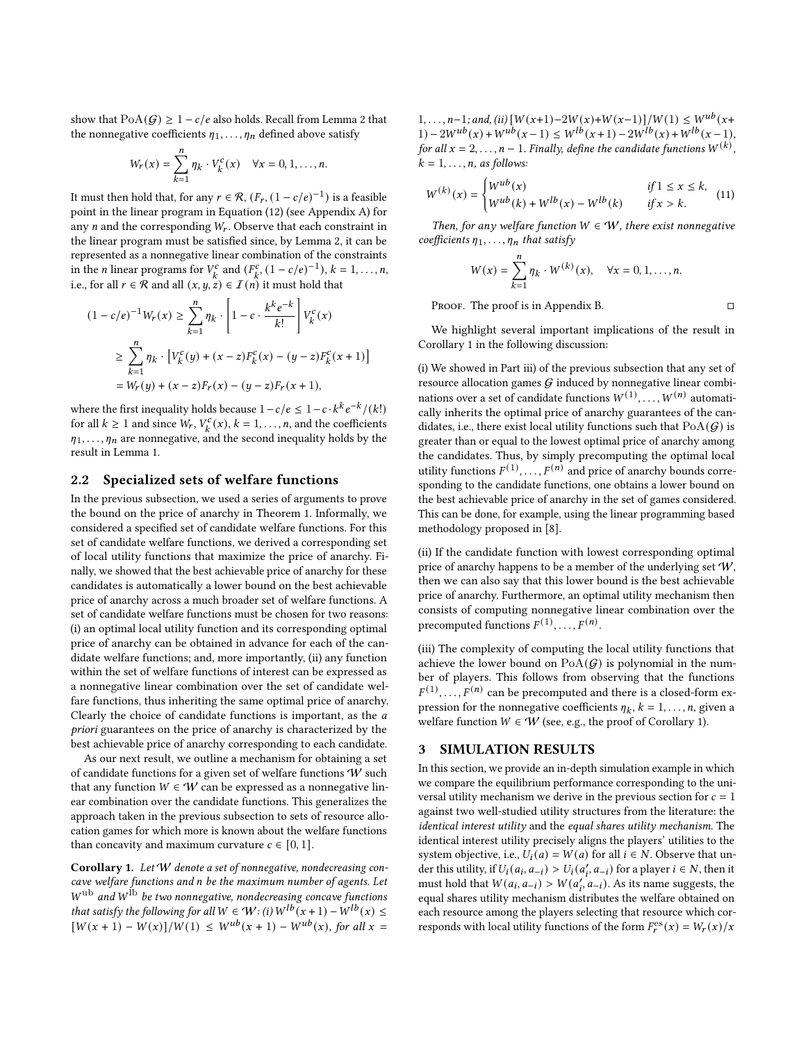show that  $PoA(G) \geq 1 - c/e$  also holds. Recall from Lemma [2](#page-4-1) that the nonnegative coefficients  $\eta_1, \ldots, \eta_n$  defined above satisfy

$$
W_r(x) = \sum_{k=1}^n \eta_k \cdot V_k^c(x) \quad \forall x = 0, 1, ..., n.
$$

It must then hold that, for any  $r \in \mathcal{R}$ ,  $(F_r, (1 - c/e)^{-1})$  is a feasible point in the linear program in Equation (12) (see Appendix A) for any  $n$  and the corresponding  $W_r$ . Observe that each constraint in the linear program must be satisfied since, by Lemma [2,](#page-4-1) it can be represented as a nonnegative linear combination of the constraints in the *n* linear programs for  $V_k^c$  and  $(F_k^c, (1 - c/e)^{-1}), k = 1, \ldots, n$ , i.e., for all  $r \in \mathcal{R}$  and all  $(x, y, z) \in I(n)$  it must hold that

$$
(1 - c/e)^{-1}W_r(x) \ge \sum_{k=1}^n \eta_k \cdot \left[1 - c \cdot \frac{k^k e^{-k}}{k!} \right] V_k^c(x)
$$
  

$$
\ge \sum_{k=1}^n \eta_k \cdot \left[ V_k^c(y) + (x - z) F_k^c(x) - (y - z) F_k^c(x + 1) \right]
$$
  

$$
= W_r(y) + (x - z) F_r(x) - (y - z) F_r(x + 1),
$$

where the first inequality holds because  $1 - c/e \leq 1 - c \cdot k^k e^{-k} / (k!)$ for all  $k \ge 1$  and since  $W_r$ ,  $V_k^c(x)$ ,  $k = 1, \ldots, n$ , and the coefficients  $\eta_1, \ldots, \eta_n$  are nonnegative, and the second inequality holds by the result in Lemma [1.](#page-4-0)

## 2.2 Specialized sets of welfare functions

In the previous subsection, we used a series of arguments to prove the bound on the price of anarchy in Theorem [1.](#page-2-0) Informally, we considered a specified set of candidate welfare functions. For this set of candidate welfare functions, we derived a corresponding set of local utility functions that maximize the price of anarchy. Finally, we showed that the best achievable price of anarchy for these candidates is automatically a lower bound on the best achievable price of anarchy across a much broader set of welfare functions. A set of candidate welfare functions must be chosen for two reasons: (i) an optimal local utility function and its corresponding optimal price of anarchy can be obtained in advance for each of the candidate welfare functions; and, more importantly, (ii) any function within the set of welfare functions of interest can be expressed as a nonnegative linear combination over the set of candidate welfare functions, thus inheriting the same optimal price of anarchy. Clearly the choice of candidate functions is important, as the a priori guarantees on the price of anarchy is characterized by the best achievable price of anarchy corresponding to each candidate.

As our next result, we outline a mechanism for obtaining a set of candidate functions for a given set of welfare functions W such that any function  $W \in W$  can be expressed as a nonnegative linear combination over the candidate functions. This generalizes the approach taken in the previous subsection to sets of resource allocation games for which more is known about the welfare functions than concavity and maximum curvature  $c \in [0, 1]$ .

<span id="page-5-1"></span>Corollary 1. Let 'W denote a set of nonnegative, nondecreasing concave welfare functions and n be the maximum number of agents. Let  $W^{\mathrm{ub}}$  and  $W^{\mathrm{lb}}$  be two nonnegative, nondecreasing concave functions that satisfy the following for all  $W \in W$ : (i)  $W^{lb}$ ( $x + 1$ ) –  $W^{lb}(x) \le$  $[W(x + 1) - W(x)]/W(1) \leq W^{ub}(x + 1) - W^{ub}(x)$ , for all  $x =$ 

 $1, \ldots, n-1;$  and, (ii)  $[W(x+1)-2W(x)+W(x-1)]/W(1) \leq W^{ub}(x+1)$  $1) - 2W^{ub}(x) + W^{ub}(x-1) \leq W^{lb}(x+1) - 2W^{lb}(x) + W^{lb}(x-1),$ for all  $x = 2, ..., n - 1$ . Finally, define the candidate functions  $W^{(k)}$ ,  $k = 1, \ldots, n$ , as follows:

$$
W^{(k)}(x) = \begin{cases} W^{ub}(x) & \text{if } 1 \leq x \leq k, \\ W^{ub}(k) + W^{lb}(x) - W^{lb}(k) & \text{if } x > k. \end{cases}
$$
(11)

Then, for any welfare function  $W \in W$ , there exist nonnegative coefficients  $\eta_1, \ldots, \eta_n$  that satisfy

$$
W(x) = \sum_{k=1}^{n} \eta_k \cdot W^{(k)}(x), \quad \forall x = 0, 1, ..., n.
$$

PROOF. The proof is in Appendix B.  $□$ 

We highlight several important implications of the result in Corollary [1](#page-5-1) in the following discussion:

(i) We showed in Part iii) of the previous subsection that any set of resource allocation games  $G$  induced by nonnegative linear combinations over a set of candidate functions  $W^{(1)}$ ,  $W^{(n)}$  automatically inherits the optimal price of anarchy guarantees of the candidates, i.e., there exist local utility functions such that  $PoA(G)$  is greater than or equal to the lowest optimal price of anarchy among the candidates. Thus, by simply precomputing the optimal local utility functions  $F^{(1)}, \ldots, F^{(n)}$  and price of anarchy bounds corresponding to the candidate functions, one obtains a lower bound on the best achievable price of anarchy in the set of games considered. This can be done, for example, using the linear programming based methodology proposed in [\[8\]](#page-7-16).

(ii) If the candidate function with lowest corresponding optimal price of anarchy happens to be a member of the underlying set  $W$ , then we can also say that this lower bound is the best achievable price of anarchy. Furthermore, an optimal utility mechanism then consists of computing nonnegative linear combination over the precomputed functions  $F^{(1)}, \ldots, F^{(n)}$ .

(iii) The complexity of computing the local utility functions that achieve the lower bound on  $PoA(G)$  is polynomial in the number of players. This follows from observing that the functions  $F^{(1)}$ ,  $F^{(n)}$  can be precomputed and there is a closed-form expression for the nonnegative coefficients  $\eta_k$ ,  $k = 1, \ldots, n$ , given a welfare function  $W \in \mathcal{W}$  (see, e.g., the proof of Corollary [1\)](#page-5-1).

#### <span id="page-5-0"></span>3 SIMULATION RESULTS

In this section, we provide an in-depth simulation example in which we compare the equilibrium performance corresponding to the universal utility mechanism we derive in the previous section for  $c = 1$ against two well-studied utility structures from the literature: the identical interest utility and the equal shares utility mechanism. The identical interest utility precisely aligns the players' utilities to the system objective, i.e.,  $U_i(a) = W(a)$  for all  $i \in N$ . Observe that under this utility, if  $U_i(a_i, a_{-i}) > U_i(a'_i, a_{-i})$  for a player  $i \in N$ , then it must hold that  $W(a_i, a_{-i}) > W(a'_i, a_{-i})$ . As its name suggests, the equal shares utility mechanism distributes the welfare obtained on each resource among the players selecting that resource which corresponds with local utility functions of the form  $F_r^{\text{es}}(x) = W_r(x)/x$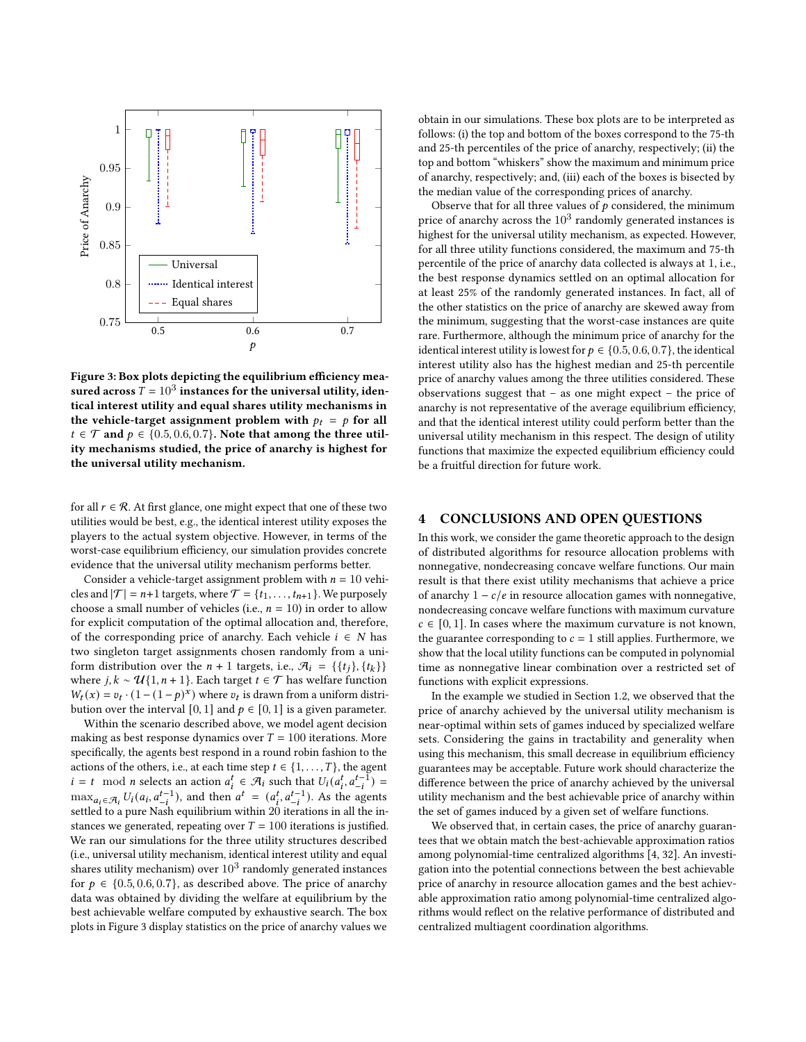<span id="page-6-1"></span>

Figure 3: Box plots depicting the equilibrium efficiency measured across  $T = 10^3$  instances for the universal utility, identical interest utility and equal shares utility mechanisms in the vehicle-target assignment problem with  $p_t = p$  for all  $t \in \mathcal{T}$  and  $p \in \{0.5, 0.6, 0.7\}$ . Note that among the three utility mechanisms studied, the price of anarchy is highest for the universal utility mechanism.

for all  $r \in \mathcal{R}$ . At first glance, one might expect that one of these two utilities would be best, e.g., the identical interest utility exposes the players to the actual system objective. However, in terms of the worst-case equilibrium efficiency, our simulation provides concrete evidence that the universal utility mechanism performs better.

Consider a vehicle-target assignment problem with  $n = 10$  vehicles and  $|\mathcal{T}| = n+1$  targets, where  $\mathcal{T} = \{t_1, \ldots, t_{n+1}\}$ . We purposely choose a small number of vehicles (i.e.,  $n = 10$ ) in order to allow for explicit computation of the optimal allocation and, therefore, of the corresponding price of anarchy. Each vehicle  $i \in N$  has two singleton target assignments chosen randomly from a uniform distribution over the  $n + 1$  targets, i.e.,  $\mathcal{A}_i = \{\{t_j\}, \{t_k\}\}\$ where  $j, k \sim \mathcal{U}{1, n+1}$ . Each target  $t \in \mathcal{T}$  has welfare function  $W_t(x) = v_t \cdot (1 - (1 - p)^x)$  where  $v_t$  is drawn from a uniform distribution over the interval [0, 1] and  $p \in [0, 1]$  is a given parameter.

Within the scenario described above, we model agent decision making as best response dynamics over  $T = 100$  iterations. More specifically, the agents best respond in a round robin fashion to the actions of the others, i.e., at each time step  $t \in \{1, \ldots, T\}$ , the agent  $i = t \mod n$  selects an action  $a_i^t \in \mathcal{A}_i$  such that  $U_i(a_i^t, a_{-i}^{t-1}) =$  $\max_{a_i \in \mathcal{A}_i} U_i(a_i, a_{-i}^{t-1})$ , and then  $a^t = (a_i^t, a_{-i}^{t-1})$ . As the agents settled to a pure Nash equilibrium within 20 iterations in all the instances we generated, repeating over  $T = 100$  iterations is justified. We ran our simulations for the three utility structures described (i.e., universal utility mechanism, identical interest utility and equal shares utility mechanism) over  $10^3$  randomly generated instances for  $p \in \{0.5, 0.6, 0.7\}$ , as described above. The price of anarchy data was obtained by dividing the welfare at equilibrium by the best achievable welfare computed by exhaustive search. The box plots in Figure [3](#page-6-1) display statistics on the price of anarchy values we

obtain in our simulations. These box plots are to be interpreted as follows: (i) the top and bottom of the boxes correspond to the 75-th and 25-th percentiles of the price of anarchy, respectively; (ii) the top and bottom "whiskers" show the maximum and minimum price of anarchy, respectively; and, (iii) each of the boxes is bisected by the median value of the corresponding prices of anarchy.

Observe that for all three values of  $p$  considered, the minimum price of anarchy across the  $10^3$  randomly generated instances is highest for the universal utility mechanism, as expected. However, for all three utility functions considered, the maximum and 75-th percentile of the price of anarchy data collected is always at 1, i.e., the best response dynamics settled on an optimal allocation for at least 25% of the randomly generated instances. In fact, all of the other statistics on the price of anarchy are skewed away from the minimum, suggesting that the worst-case instances are quite rare. Furthermore, although the minimum price of anarchy for the identical interest utility is lowest for  $p \in \{0.5, 0.6, 0.7\}$ , the identical interest utility also has the highest median and 25-th percentile price of anarchy values among the three utilities considered. These observations suggest that – as one might expect – the price of anarchy is not representative of the average equilibrium efficiency, and that the identical interest utility could perform better than the universal utility mechanism in this respect. The design of utility functions that maximize the expected equilibrium efficiency could be a fruitful direction for future work.

# <span id="page-6-0"></span>4 CONCLUSIONS AND OPEN QUESTIONS

In this work, we consider the game theoretic approach to the design of distributed algorithms for resource allocation problems with nonnegative, nondecreasing concave welfare functions. Our main result is that there exist utility mechanisms that achieve a price of anarchy  $1 - c/e$  in resource allocation games with nonnegative, nondecreasing concave welfare functions with maximum curvature  $c \in [0, 1]$ . In cases where the maximum curvature is not known, the guarantee corresponding to  $c = 1$  still applies. Furthermore, we show that the local utility functions can be computed in polynomial time as nonnegative linear combination over a restricted set of functions with explicit expressions.

In the example we studied in Section [1.2,](#page-1-7) we observed that the price of anarchy achieved by the universal utility mechanism is near-optimal within sets of games induced by specialized welfare sets. Considering the gains in tractability and generality when using this mechanism, this small decrease in equilibrium efficiency guarantees may be acceptable. Future work should characterize the difference between the price of anarchy achieved by the universal utility mechanism and the best achievable price of anarchy within the set of games induced by a given set of welfare functions.

We observed that, in certain cases, the price of anarchy guarantees that we obtain match the best-achievable approximation ratios among polynomial-time centralized algorithms [\[4,](#page-7-19) [32\]](#page-7-21). An investigation into the potential connections between the best achievable price of anarchy in resource allocation games and the best achievable approximation ratio among polynomial-time centralized algorithms would reflect on the relative performance of distributed and centralized multiagent coordination algorithms.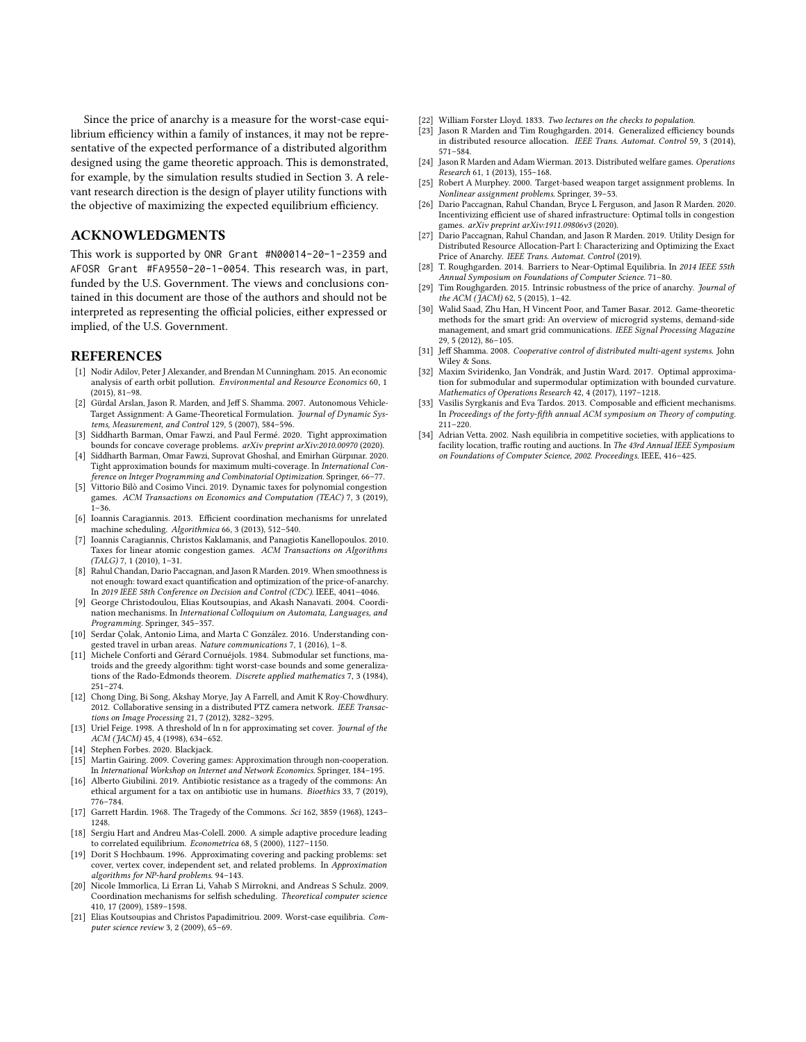Since the price of anarchy is a measure for the worst-case equilibrium efficiency within a family of instances, it may not be representative of the expected performance of a distributed algorithm designed using the game theoretic approach. This is demonstrated, for example, by the simulation results studied in Section [3.](#page-5-0) A relevant research direction is the design of player utility functions with the objective of maximizing the expected equilibrium efficiency.

# ACKNOWLEDGMENTS

This work is supported by ONR Grant #N00014-20-1-2359 and AFOSR Grant #FA9550-20-1-0054. This research was, in part, funded by the U.S. Government. The views and conclusions contained in this document are those of the authors and should not be interpreted as representing the official policies, either expressed or implied, of the U.S. Government.

#### REFERENCES

- <span id="page-7-4"></span>[1] Nodir Adilov, Peter J Alexander, and Brendan M Cunningham. 2015. An economic analysis of earth orbit pollution. Environmental and Resource Economics 60, 1 (2015), 81–98.
- <span id="page-7-10"></span>[2] Gürdal Arslan, Jason R. Marden, and Jeff S. Shamma. 2007. Autonomous Vehicle-Target Assignment: A Game-Theoretical Formulation. Journal of Dynamic Systems, Measurement, and Control 129, 5 (2007), 584–596.
- <span id="page-7-24"></span>[3] Siddharth Barman, Omar Fawzi, and Paul Fermé. 2020. Tight approximation bounds for concave coverage problems. *arXiv preprint arXiv:2010.00970 (2020)*.
- <span id="page-7-19"></span>[4] Siddharth Barman, Omar Fawzi, Suprovat Ghoshal, and Emirhan Gürpınar. 2020. Tight approximation bounds for maximum multi-coverage. In International Conference on Integer Programming and Combinatorial Optimization. Springer, 66–77.
- <span id="page-7-30"></span>[5] Vittorio Bilò and Cosimo Vinci. 2019. Dynamic taxes for polynomial congestion games. ACM Transactions on Economics and Computation (TEAC) 7, 3 (2019), 1–36.
- <span id="page-7-28"></span>[6] Ioannis Caragiannis. 2013. Efficient coordination mechanisms for unrelated machine scheduling. Algorithmica 66, 3 (2013), 512–540.
- <span id="page-7-31"></span>[7] Ioannis Caragiannis, Christos Kaklamanis, and Panagiotis Kanellopoulos. 2010. Taxes for linear atomic congestion games. ACM Transactions on Algorithms (TALG) 7, 1 (2010), 1–31.
- <span id="page-7-16"></span>[8] Rahul Chandan, Dario Paccagnan, and Jason R Marden. 2019. When smoothness is not enough: toward exact quantification and optimization of the price-of-anarchy. In 2019 IEEE 58th Conference on Decision and Control (CDC). IEEE, 4041–4046.
- <span id="page-7-27"></span>[9] George Christodoulou, Elias Koutsoupias, and Akash Nanavati. 2004. Coordination mechanisms. In International Colloquium on Automata, Languages, and Programming. Springer, 345–357.
- <span id="page-7-0"></span>[10] Serdar Çolak, Antonio Lima, and Marta C González. 2016. Understanding conested travel in urban areas. Nature communications 7, 1 (2016), 1-8.
- <span id="page-7-26"></span>[11] Michele Conforti and Gérard Cornuéjols. 1984. Submodular set functions, matroids and the greedy algorithm: tight worst-case bounds and some generalizations of the Rado-Edmonds theorem. Discrete applied mathematics 7, 3 (1984), 251–274.
- <span id="page-7-8"></span>[12] Chong Ding, Bi Song, Akshay Morye, Jay A Farrell, and Amit K Roy-Chowdhury. 2012. Collaborative sensing in a distributed PTZ camera network. IEEE Transactions on Image Processing 21, 7 (2012), 3282–3295.
- <span id="page-7-20"></span>[13] Uriel Feige. 1998. A threshold of ln n for approximating set cover. Journal of the ACM (JACM) 45, 4 (1998), 634–652.
- <span id="page-7-1"></span>[14] Stephen Forbes. 2020. Blackjack.
- <span id="page-7-17"></span>[15] Martin Gairing. 2009. Covering games: Approximation through non-cooperation. In International Workshop on Internet and Network Economics. Springer, 184–195.
- <span id="page-7-5"></span>[16] Alberto Giubilini. 2019. Antibiotic resistance as a tragedy of the commons: An ethical argument for a tax on antibiotic use in humans. Bioethics 33, 7 (2019), 776–784.
- <span id="page-7-2"></span>[17] Garrett Hardin. 1968. The Tragedy of the Commons. Sci 162, 3859 (1968), 1243– 1248.
- <span id="page-7-12"></span>[18] Sergiu Hart and Andreu Mas-Colell. 2000. A simple adaptive procedure leading to correlated equilibrium. Econometrica 68, 5 (2000), 1127–1150.
- <span id="page-7-22"></span>[19] Dorit S Hochbaum. 1996. Approximating covering and packing problems: set cover, vertex cover, independent set, and related problems. In Approximation algorithms for NP-hard problems. 94–143.
- <span id="page-7-29"></span>[20] Nicole Immorlica, Li Erran Li, Vahab S Mirrokni, and Andreas S Schulz. 2009. Coordination mechanisms for selfish scheduling. Theoretical computer science 410, 17 (2009), 1589–1598.
- <span id="page-7-13"></span>[21] Elias Koutsoupias and Christos Papadimitriou. 2009. Worst-case equilibria. Computer science review 3, 2 (2009), 65–69.
- <span id="page-7-3"></span>[22] William Forster Lloyd. 1833. Two lectures on the checks to population.<br>[23] Jason R Marden and Tim Roughgarden. 2014. Generalized efficien.
- <span id="page-7-14"></span>Jason R Marden and Tim Roughgarden. 2014. Generalized efficiency bounds in distributed resource allocation. IEEE Trans. Automat. Control 59, 3 (2014), 571–584.
- <span id="page-7-6"></span>[24] Jason R Marden and Adam Wierman. 2013. Distributed welfare games. Operations Research 61, 1 (2013), 155–168.
- <span id="page-7-23"></span>[25] Robert A Murphey. 2000. Target-based weapon target assignment problems. In Nonlinear assignment problems. Springer, 39–53.
- <span id="page-7-11"></span>[26] Dario Paccagnan, Rahul Chandan, Bryce L Ferguson, and Jason R Marden. 2020. Incentivizing efficient use of shared infrastructure: Optimal tolls in congestion games. arXiv preprint arXiv:1911.09806v3 (2020).
- <span id="page-7-18"></span>[27] Dario Paccagnan, Rahul Chandan, and Jason R Marden. 2019. Utility Design for Distributed Resource Allocation-Part I: Characterizing and Optimizing the Exact Price of Anarchy. IEEE Trans. Automat. Control (2019).
- <span id="page-7-32"></span>[28] T. Roughgarden. 2014. Barriers to Near-Optimal Equilibria. In 2014 IEEE 55th Annual Symposium on Foundations of Computer Science. 71–80.
- <span id="page-7-25"></span>[29] Tim Roughgarden. 2015. Intrinsic robustness of the price of anarchy. Journal of the ACM (JACM) 62, 5 (2015), 1–42.
- <span id="page-7-9"></span>[30] Walid Saad, Zhu Han, H Vincent Poor, and Tamer Basar. 2012. Game-theoretic methods for the smart grid: An overview of microgrid systems, demand-side management, and smart grid communications. IEEE Signal Processing Magazine 29, 5 (2012), 86–105.
- <span id="page-7-7"></span>[31] Jeff Shamma. 2008. Cooperative control of distributed multi-agent systems. John Wiley & Sons.
- <span id="page-7-21"></span>[32] Maxim Sviridenko, Jan Vondrák, and Justin Ward. 2017. Optimal approximation for submodular and supermodular optimization with bounded curvature. Mathematics of Operations Research 42, 4 (2017), 1197–1218.
- <span id="page-7-33"></span>[33] Vasilis Syrgkanis and Eva Tardos. 2013. Composable and efficient mechanisms. In Proceedings of the forty-fifth annual ACM symposium on Theory of computing. 211–220.
- <span id="page-7-15"></span>[34] Adrian Vetta. 2002. Nash equilibria in competitive societies, with applications to facility location, traffic routing and auctions. In The 43rd Annual IEEE Symposium on Foundations of Computer Science, 2002. Proceedings. IEEE, 416–425.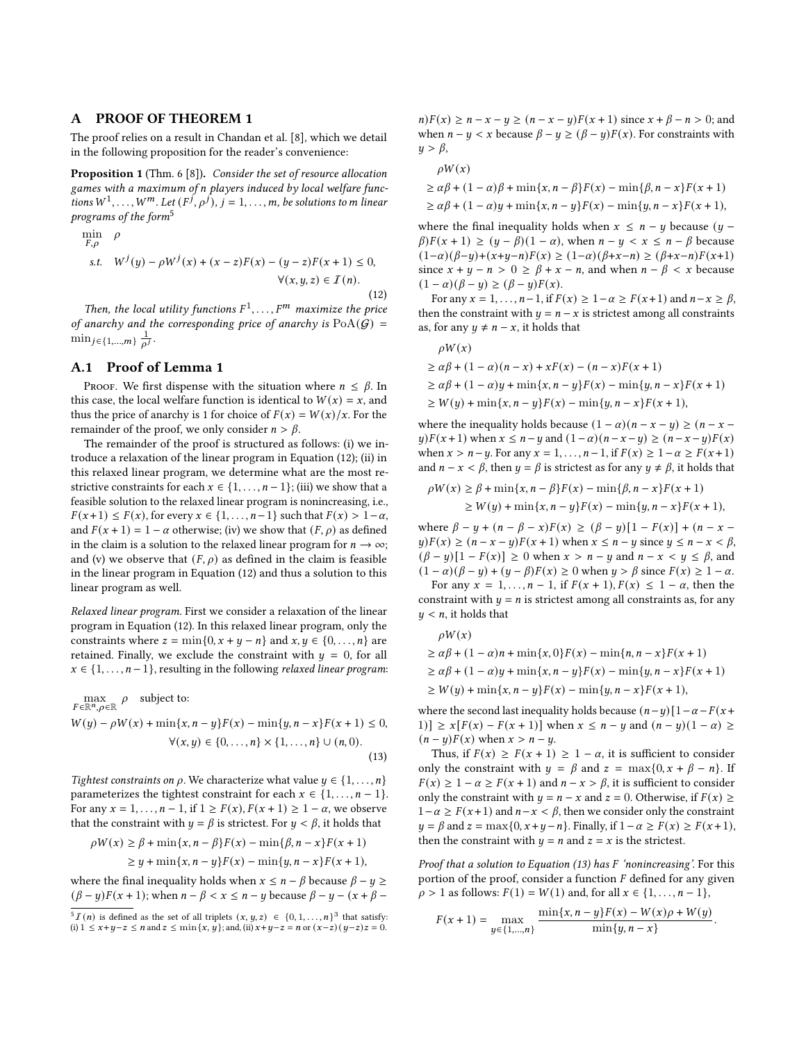# A PROOF OF THEOREM [1](#page-2-0)

The proof relies on a result in Chandan et al. [\[8\]](#page-7-16), which we detail in the following proposition for the reader's convenience:

Proposition 1 (Thm. 6 [\[8\]](#page-7-16)). Consider the set of resource allocation games with a maximum of n players induced by local welfare functions  $W^1, \ldots, W^m$ . Let  $(F^j, \rho^j)$ ,  $j = 1, \ldots, m$ , be solutions to m linear programs of the form<sup>[5](#page-8-0)</sup>

<span id="page-8-1"></span>
$$
\min_{F,\rho} \rho
$$
  
s.t.  $W^{j}(y) - \rho W^{j}(x) + (x - z)F(x) - (y - z)F(x + 1) \le 0,$   
 $\forall (x, y, z) \in I(n).$  (12)

Then, the local utility functions  $F^1, \ldots, F^m$  maximize the price of anarchy and the corresponding price of anarchy is  $PoA(G)$  =  $\min_{j \in \{1, ..., m\}} \frac{1}{\rho^j}.$ 

#### A.1 Proof of Lemma [1](#page-4-0)

PROOF. We first dispense with the situation where  $n \leq \beta$ . In this case, the local welfare function is identical to  $W(x) = x$ , and thus the price of anarchy is 1 for choice of  $F(x) = W(x)/x$ . For the remainder of the proof, we only consider  $n > \beta$ .

The remainder of the proof is structured as follows: (i) we introduce a relaxation of the linear program in Equation [\(12\)](#page-8-1); (ii) in this relaxed linear program, we determine what are the most restrictive constraints for each  $x \in \{1, ..., n-1\}$ ; (iii) we show that a feasible solution to the relaxed linear program is nonincreasing, i.e.,  $F(x+1) \leq F(x)$ , for every  $x \in \{1, \ldots, n-1\}$  such that  $F(x) > 1-\alpha$ , and  $F(x + 1) = 1 - \alpha$  otherwise; (iv) we show that  $(F, \rho)$  as defined in the claim is a solution to the relaxed linear program for  $n \to \infty$ ; and (v) we observe that  $(F, \rho)$  as defined in the claim is feasible in the linear program in Equation [\(12\)](#page-8-1) and thus a solution to this linear program as well.

Relaxed linear program. First we consider a relaxation of the linear program in Equation [\(12\)](#page-8-1). In this relaxed linear program, only the constraints where  $z = min\{0, x + y - n\}$  and  $x, y \in \{0, ..., n\}$  are retained. Finally, we exclude the constraint with  $y = 0$ , for all  $x \in \{1, \ldots, n-1\}$ , resulting in the following *relaxed linear program*:

<span id="page-8-2"></span>
$$
\max_{F \in \mathbb{R}^n, \rho \in \mathbb{R}} \rho \text{ subject to:}
$$
  
 
$$
W(y) - \rho W(x) + \min\{x, n - y\} F(x) - \min\{y, n - x\} F(x + 1) \le 0,
$$
  
 
$$
\forall (x, y) \in \{0, ..., n\} \times \{1, ..., n\} \cup (n, 0).
$$
 (13)

Tightest constraints on  $\rho$ . We characterize what value  $y \in \{1, \ldots, n\}$ parameterizes the tightest constraint for each  $x \in \{1, \ldots, n-1\}$ . For any  $x = 1, \ldots, n - 1$ , if  $1 \ge F(x)$ ,  $F(x + 1) \ge 1 - \alpha$ , we observe that the constraint with  $y = \beta$  is strictest. For  $y < \beta$ , it holds that

$$
\rho W(x) \ge \beta + \min\{x, n - \beta\} F(x) - \min\{\beta, n - x\} F(x + 1) \\
\ge y + \min\{x, n - y\} F(x) - \min\{y, n - x\} F(x + 1),
$$

where the final inequality holds when  $x \le n - \beta$  because  $\beta - y \ge$  $(\beta - y)F(x + 1)$ ; when  $n - \beta < x \le n - y$  because  $\beta - y - (x + \beta - y)F(x + 1)$   $n(F(x) \ge n - x - y \ge (n - x - y)F(x + 1)$  since  $x + \beta - n > 0$ ; and when  $n - y < x$  because  $\beta - y \ge (\beta - y)F(x)$ . For constraints with  $y > \beta$ ,

$$
\rho W(x) \n\ge \alpha \beta + (1 - \alpha) \beta + \min\{x, n - \beta\} F(x) - \min\{\beta, n - x\} F(x + 1) \n\ge \alpha \beta + (1 - \alpha) y + \min\{x, n - y\} F(x) - \min\{y, n - x\} F(x + 1),
$$

where the final inequality holds when  $x \le n - y$  because  $(y \beta$ )  $F(x + 1) \ge (y - \beta)(1 - \alpha)$ , when  $n - y < x \le n - \beta$  because  $(1-\alpha)(\beta-y)+(x+y-n)F(x) \ge (1-\alpha)(\beta+x-n) \ge (\beta+x-n)F(x+1)$ since  $x + y - n > 0 \ge \beta + x - n$ , and when  $n - \beta < x$  because  $(1 - \alpha)(\beta - y) \ge (\beta - y)F(x).$ 

For any  $x = 1, \ldots, n-1$ , if  $F(x) \geq 1-\alpha \geq F(x+1)$  and  $n-x \geq \beta$ , then the constraint with  $y = n - x$  is strictest among all constraints as, for any  $y \neq n - x$ , it holds that

$$
\rho W(x)
$$
  
\n
$$
\geq \alpha \beta + (1 - \alpha)(n - x) + xF(x) - (n - x)F(x + 1)
$$
  
\n
$$
\geq \alpha \beta + (1 - \alpha)y + \min\{x, n - y\}F(x) - \min\{y, n - x\}F(x + 1)
$$
  
\n
$$
\geq W(y) + \min\{x, n - y\}F(x) - \min\{y, n - x\}F(x + 1),
$$

where the inequality holds because  $(1 - \alpha)(n - x - y) \ge (n - x$  $y$ )  $F(x+1)$  when  $x \le n-y$  and  $(1-\alpha)(n-x-y) \ge (n-x-y)F(x)$ when  $x > n - y$ . For any  $x = 1, ..., n - 1$ , if  $F(x) \ge 1 - \alpha \ge F(x + 1)$ and  $n - x < \beta$ , then  $y = \beta$  is strictest as for any  $y \neq \beta$ , it holds that

$$
\label{eq:rhoW} \begin{aligned} \rho W(x) &\geq \beta + \min\{x,n-\beta\}F(x) - \min\{\beta,n-x\}F(x+1) \\ &\geq W(y) + \min\{x,n-y\}F(x) - \min\{y,n-x\}F(x+1), \end{aligned}
$$

where  $\beta - y + (n - \beta - x)F(x) \ge (\beta - y)[1 - F(x)] + (n - x$  $y$ )  $F(x) \ge (n-x-y)F(x+1)$  when  $x \le n-y$  since  $y \le n-x < \beta$ ,  $(\beta - y)[1 - F(x)] \ge 0$  when  $x > n - y$  and  $n - x < y \le \beta$ , and  $(1 - \alpha)(\beta - y) + (y - \beta)F(x) \ge 0$  when  $y > \beta$  since  $F(x) \ge 1 - \alpha$ . For any  $x = 1, \ldots, n - 1$ , if  $F(x + 1), F(x) \leq 1 - \alpha$ , then the

constraint with  $y = n$  is strictest among all constraints as, for any  $y < n$ , it holds that

$$
\rho W(x)
$$
  
\n
$$
\geq \alpha \beta + (1 - \alpha)n + \min\{x, 0\} F(x) - \min\{n, n - x\} F(x + 1)
$$
  
\n
$$
\geq \alpha \beta + (1 - \alpha)y + \min\{x, n - y\} F(x) - \min\{y, n - x\} F(x + 1)
$$
  
\n
$$
\geq W(y) + \min\{x, n - y\} F(x) - \min\{y, n - x\} F(x + 1),
$$

where the second last inequality holds because  $(n-y)[1-\alpha - F(x+$ 1)]  $\geq x[F(x) - F(x+1)]$  when  $x \leq n - y$  and  $(n - y)(1 - \alpha) \geq$  $(n - y)F(x)$  when  $x > n - y$ .

Thus, if  $F(x) \geq F(x + 1) \geq 1 - \alpha$ , it is sufficient to consider only the constraint with  $y = \beta$  and  $z = \max\{0, x + \beta - n\}$ . If  $F(x) \ge 1 - \alpha \ge F(x + 1)$  and  $n - x > \beta$ , it is sufficient to consider only the constraint with  $y = n - x$  and  $z = 0$ . Otherwise, if  $F(x) ≥$  $1-\alpha \geq F(x+1)$  and  $n-x < \beta$ , then we consider only the constraint  $y = \beta$  and  $z = \max\{0, x + y - n\}$ . Finally, if  $1 - \alpha \geq F(x) \geq F(x + 1)$ , then the constraint with  $y = n$  and  $z = x$  is the strictest.

Proof that a solution to Equation [\(13\)](#page-8-2) has  $F$  'nonincreasing'. For this portion of the proof, consider a function  $F$  defined for any given  $\rho > 1$  as follows:  $F(1) = W(1)$  and, for all  $x \in \{1, ..., n-1\}$ ,

$$
F(x+1) = \max_{y \in \{1, ..., n\}} \frac{\min\{x, n - y\} F(x) - W(x)\rho + W(y)}{\min\{y, n - x\}}.
$$

<span id="page-8-0"></span> ${}^{5} \mathcal{I}(n)$  is defined as the set of all triplets  $(x, y, z) \in \{0, 1, \ldots, n\}^3$  that satisfy: (i)  $1 \le x+y-z \le n$  and  $z \le \min\{x, y\}$ ; and, (ii)  $x+y-z = n$  or  $(x-z)(y-z)z = 0$ .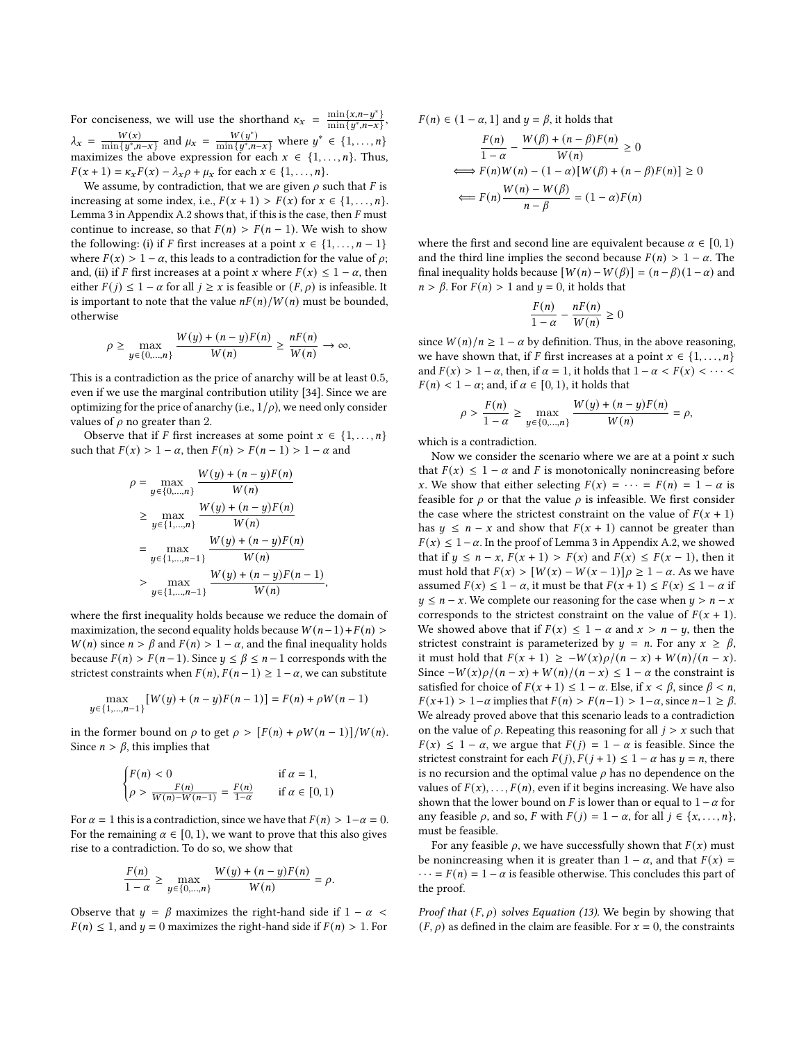For conciseness, we will use the shorthand  $\kappa_x = \frac{\min\{x, n-y^*\}}{\min\{y^*, n-x\}}$ ,  $\lambda_x = \frac{W(x)}{\min\{u^*\}}$  $\frac{W(x)}{\min\{y^*, n-x\}}$  and  $\mu_x = \frac{W(y^*)}{\min\{y^*, n-x\}}$  where  $y^* \in \{1, ..., n\}$ maximizes the above expression for each  $x \in \{1, \ldots, n\}$ . Thus,  $F(x + 1) = \kappa_x F(x) - \lambda_x \rho + \mu_x$  for each  $x \in \{1, ..., n\}.$ 

We assume, by contradiction, that we are given  $\rho$  such that  $F$  is increasing at some index, i.e.,  $F(x + 1) > F(x)$  for  $x \in \{1, ..., n\}$ . Lemma [3](#page-10-0) in Appendix [A.2](#page-10-1) shows that, if this is the case, then  $F$  must continue to increase, so that  $F(n) > F(n-1)$ . We wish to show the following: (i) if *F* first increases at a point  $x \in \{1, ..., n-1\}$ where  $F(x) > 1 - \alpha$ , this leads to a contradiction for the value of  $\rho$ ; and, (ii) if *F* first increases at a point *x* where  $F(x) \leq 1 - \alpha$ , then either  $F(j) \leq 1 - \alpha$  for all  $j \geq x$  is feasible or  $(F, \rho)$  is infeasible. It is important to note that the value  $nF(n)/W(n)$  must be bounded, otherwise

$$
\rho \ge \max_{y \in \{0, \dots, n\}} \frac{W(y) + (n - y)F(n)}{W(n)} \ge \frac{nF(n)}{W(n)} \to \infty.
$$

This is a contradiction as the price of anarchy will be at least 0.5, even if we use the marginal contribution utility [\[34\]](#page-7-15). Since we are optimizing for the price of anarchy (i.e.,  $1/\rho$ ), we need only consider values of  $\rho$  no greater than 2.

Observe that if F first increases at some point  $x \in \{1, \ldots, n\}$ such that  $F(x) > 1 - \alpha$ , then  $F(n) > F(n - 1) > 1 - \alpha$  and

$$
\rho = \max_{y \in \{0, \ldots, n\}} \frac{W(y) + (n - y)F(n)}{W(n)}
$$
  
\n
$$
\geq \max_{y \in \{1, \ldots, n\}} \frac{W(y) + (n - y)F(n)}{W(n)}
$$
  
\n
$$
= \max_{y \in \{1, \ldots, n-1\}} \frac{W(y) + (n - y)F(n)}{W(n)}
$$
  
\n
$$
> \max_{y \in \{1, \ldots, n-1\}} \frac{W(y) + (n - y)F(n - 1)}{W(n)},
$$

where the first inequality holds because we reduce the domain of maximization, the second equality holds because  $W(n-1) + F(n)$  $W(n)$  since  $n > \beta$  and  $F(n) > 1 - \alpha$ , and the final inequality holds because  $F(n) > F(n-1)$ . Since  $y \le \beta \le n-1$  corresponds with the strictest constraints when  $F(n)$ ,  $F(n-1) \geq 1-\alpha$ , we can substitute

$$
\max_{y \in \{1, ..., n-1\}} [W(y) + (n-y)F(n-1)] = F(n) + \rho W(n-1)
$$

in the former bound on  $\rho$  to get  $\rho > [F(n) + \rho W(n-1)]/W(n)$ . Since  $n > \beta$ , this implies that

$$
\begin{cases} F(n) < 0 & \text{if } \alpha = 1, \\ \rho > \frac{F(n)}{W(n) - W(n-1)} = \frac{F(n)}{1 - \alpha} & \text{if } \alpha \in [0, 1) \end{cases}
$$

For  $\alpha = 1$  this is a contradiction, since we have that  $F(n) > 1-\alpha = 0$ . For the remaining  $\alpha \in [0, 1)$ , we want to prove that this also gives rise to a contradiction. To do so, we show that

$$
\frac{F(n)}{1-\alpha} \ge \max_{y \in \{0,\ldots,n\}} \frac{W(y) + (n-y)F(n)}{W(n)} = \rho.
$$

Observe that  $y = \beta$  maximizes the right-hand side if  $1 - \alpha$  $F(n) \leq 1$ , and  $y = 0$  maximizes the right-hand side if  $F(n) > 1$ . For  $F(n) \in (1 - \alpha, 1]$  and  $y = \beta$ , it holds that

$$
\frac{F(n)}{1-\alpha} - \frac{W(\beta) + (n-\beta)F(n)}{W(n)} \ge 0
$$
  

$$
\Longleftrightarrow F(n)W(n) - (1-\alpha)[W(\beta) + (n-\beta)F(n)] \ge 0
$$
  

$$
\Longleftrightarrow F(n)\frac{W(n) - W(\beta)}{n-\beta} = (1-\alpha)F(n)
$$

where the first and second line are equivalent because  $\alpha \in [0, 1)$ and the third line implies the second because  $F(n) > 1 - \alpha$ . The final inequality holds because  $[W(n) - W(\beta)] = (n - \beta)(1 - \alpha)$  and  $n > \beta$ . For  $F(n) > 1$  and  $y = 0$ , it holds that

$$
\frac{F(n)}{1-\alpha} - \frac{nF(n)}{W(n)} \ge 0
$$

since  $W(n)/n \geq 1 - \alpha$  by definition. Thus, in the above reasoning, we have shown that, if F first increases at a point  $x \in \{1, \ldots, n\}$ and  $F(x) > 1 - \alpha$ , then, if  $\alpha = 1$ , it holds that  $1 - \alpha < F(x) < \cdots <$  $F(n) < 1 - \alpha$ ; and, if  $\alpha \in [0, 1)$ , it holds that

$$
\rho > \frac{F(n)}{1-\alpha} \ge \max_{y \in \{0,\ldots,n\}} \frac{W(y) + (n-y)F(n)}{W(n)} = \rho,
$$

which is a contradiction.

Now we consider the scenario where we are at a point  $x$  such that  $F(x) \leq 1 - \alpha$  and F is monotonically nonincreasing before x. We show that either selecting  $F(x) = \cdots = F(n) = 1 - \alpha$  is feasible for  $\rho$  or that the value  $\rho$  is infeasible. We first consider the case where the strictest constraint on the value of  $F(x + 1)$ has  $y \leq n - x$  and show that  $F(x + 1)$  cannot be greater than  $F(x) \leq 1-\alpha$ . In the proof of Lemma [3](#page-10-0) in Appendix [A.2,](#page-10-1) we showed that if  $y \le n - x$ ,  $F(x + 1) > F(x)$  and  $F(x) \le F(x - 1)$ , then it must hold that  $F(x) > [W(x) - W(x-1)]\rho \ge 1 - \alpha$ . As we have assumed  $F(x) \leq 1 - \alpha$ , it must be that  $F(x + 1) \leq F(x) \leq 1 - \alpha$  if  $y \le n - x$ . We complete our reasoning for the case when  $y > n - x$ corresponds to the strictest constraint on the value of  $F(x + 1)$ . We showed above that if  $F(x) \leq 1 - \alpha$  and  $x > n - y$ , then the strictest constraint is parameterized by  $y = n$ . For any  $x \ge \beta$ , it must hold that  $F(x + 1) \ge -W(x)\rho/(n - x) + W(n)/(n - x)$ . Since  $-W(x)\rho/(n-x) + W(n)/(n-x) \leq 1 - \alpha$  the constraint is satisfied for choice of  $F(x + 1) \le 1 - \alpha$ . Else, if  $x < \beta$ , since  $\beta < n$ ,  $F(x+1) > 1-\alpha$  implies that  $F(n) > F(n-1) > 1-\alpha$ , since  $n-1 \ge \beta$ . We already proved above that this scenario leads to a contradiction on the value of  $\rho$ . Repeating this reasoning for all  $j > x$  such that  $F(x) \leq 1 - \alpha$ , we argue that  $F(j) = 1 - \alpha$  is feasible. Since the strictest constraint for each  $F(j)$ ,  $F(j + 1) \le 1 - \alpha$  has  $y = n$ , there is no recursion and the optimal value  $\rho$  has no dependence on the values of  $F(x), \ldots, F(n)$ , even if it begins increasing. We have also shown that the lower bound on F is lower than or equal to  $1-\alpha$  for any feasible  $\rho$ , and so,  $F$  with  $F(j) = 1 - \alpha$ , for all  $j \in \{x, \ldots, n\}$ , must be feasible.

For any feasible  $\rho$ , we have successfully shown that  $F(x)$  must be nonincreasing when it is greater than  $1 - \alpha$ , and that  $F(x) =$  $\cdots$  =  $F(n)$  = 1 –  $\alpha$  is feasible otherwise. This concludes this part of the proof.

*Proof that*  $(F, \rho)$  solves Equation [\(13\)](#page-8-2). We begin by showing that  $(F, \rho)$  as defined in the claim are feasible. For  $x = 0$ , the constraints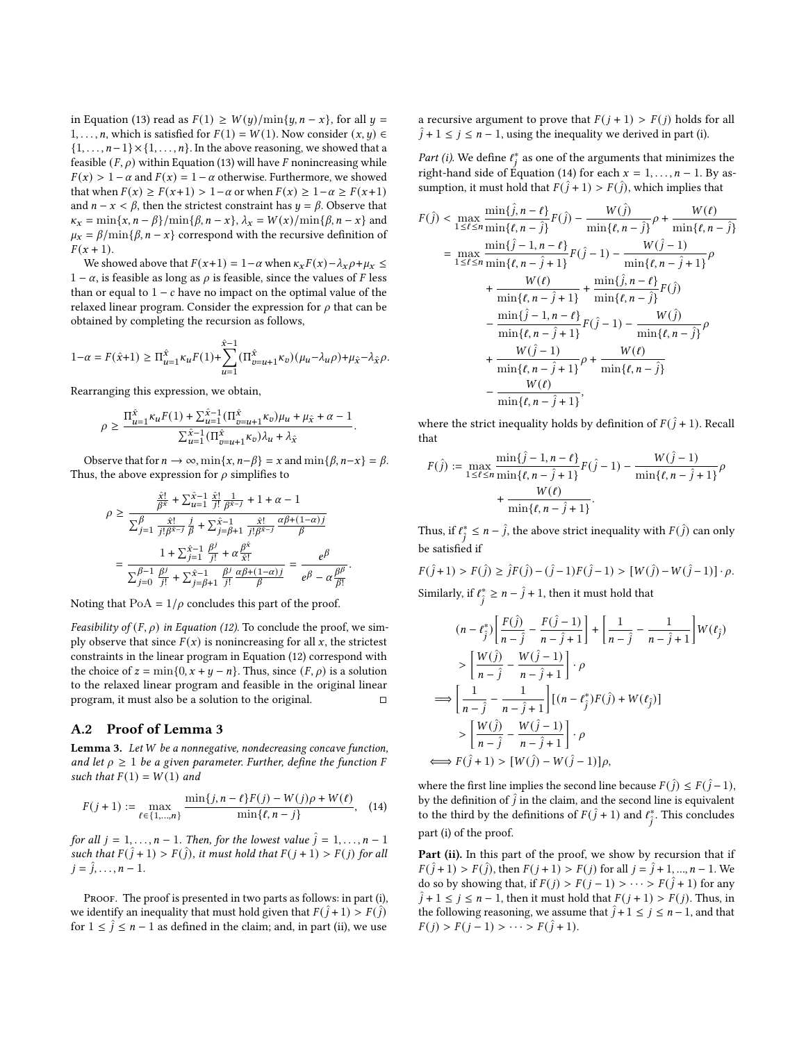in Equation [\(13\)](#page-8-2) read as  $F(1) \geq W(y)/\min\{y, n - x\}$ , for all  $y =$ 1, ..., *n*, which is satisfied for  $F(1) = W(1)$ . Now consider  $(x, y) \in$  $\{1, \ldots, n-1\} \times \{1, \ldots, n\}$ . In the above reasoning, we showed that a feasible  $(F, \rho)$  within Equation [\(13\)](#page-8-2) will have F nonincreasing while  $F(x) > 1 - \alpha$  and  $F(x) = 1 - \alpha$  otherwise. Furthermore, we showed that when  $F(x) \ge F(x+1) > 1-\alpha$  or when  $F(x) \ge 1-\alpha \ge F(x+1)$ and  $n - x < \beta$ , then the strictest constraint has  $y = \beta$ . Observe that  $\kappa_x = \min\{x, n - \beta\} / \min\{\beta, n - x\}, \lambda_x = W(x) / \min\{\beta, n - x\}$  and  $\mu_x = \beta / \min{\{\beta, n - x\}}$  correspond with the recursive definition of  $F(x + 1)$ .

We showed above that  $F(x+1) = 1-\alpha$  when  $\kappa_x F(x) - \lambda_x \rho + \mu_x \leq$  $1 - \alpha$ , is feasible as long as  $\rho$  is feasible, since the values of F less than or equal to  $1 - c$  have no impact on the optimal value of the relaxed linear program. Consider the expression for  $\rho$  that can be obtained by completing the recursion as follows,

$$
1 - \alpha = F(\hat{x} + 1) \ge \Pi_{u=1}^{\hat{x}} \kappa_u F(1) + \sum_{u=1}^{\hat{x}-1} (\Pi_{v=u+1}^{\hat{x}} \kappa_v) (\mu_u - \lambda_u \rho) + \mu_{\hat{x}} - \lambda_{\hat{x}} \rho.
$$

Rearranging this expression, we obtain,

 $\mathbb{R}^{\mathbb{Z}^2}$ 

$$
\rho \geq \frac{\Pi_{u=1}^{\hat{x}} \kappa_u F(1) + \sum_{u=1}^{\hat{x}-1} (\Pi_{v=u+1}^{\hat{x}} \kappa_v) \mu_u + \mu_{\hat{x}} + \alpha - 1}{\sum_{u=1}^{\hat{x}-1} (\Pi_{v=u+1}^{\hat{x}} \kappa_v) \lambda_u + \lambda_{\hat{x}}}
$$

.

Observe that for  $n \to \infty$ ,  $\min\{x, n-\beta\} = x$  and  $\min\{\beta, n-x\} = \beta$ . Thus, the above expression for  $\rho$  simplifies to

$$
\begin{aligned} \rho &\geq \frac{\frac{\hat{x}!}{\beta^{\hat{x}}}+\sum_{u=1}^{\hat{x}-1}\frac{\hat{x}!}{j!}\frac{1}{\beta^{\hat{x}-j}}+1+\alpha-1}{\sum_{j=1}^{\beta}\frac{\hat{x}!}{j!\beta^{\hat{x}-j}}\frac{j}{\beta}+\sum_{j=\beta+1}^{\hat{x}-1}\frac{\hat{x}!}{j!\beta^{\hat{x}-j}}\frac{\alpha\beta+(1-\alpha)j}{\beta}} \\ &=\frac{1+\sum_{j=1}^{\hat{x}-1}\frac{\beta^j}{j!}+\alpha\frac{\beta^{\hat{x}}}{\hat{x}!}}{\sum_{j=0}^{\beta-1}\frac{\beta^j}{j!}+\sum_{j=\beta+1}^{\hat{x}-1}\frac{\beta^j}{j!}\frac{\alpha\beta+(1-\alpha)j}{\beta}}=\frac{e^{\beta}}{e^{\beta}-\alpha\frac{\beta\beta}{\beta!}}. \end{aligned}
$$

Noting that  $PoA = 1/\rho$  concludes this part of the proof.

Feasibility of  $(F, \rho)$  in Equation [\(12\)](#page-8-1). To conclude the proof, we simply observe that since  $F(x)$  is nonincreasing for all x, the strictest constraints in the linear program in Equation [\(12\)](#page-8-1) correspond with the choice of  $z = min\{0, x + y - n\}$ . Thus, since  $(F, \rho)$  is a solution to the relaxed linear program and feasible in the original linear program, it must also be a solution to the original.  $□$ 

#### <span id="page-10-1"></span>A.2 Proof of Lemma [3](#page-10-0)

<span id="page-10-0"></span>Lemma 3. Let W be a nonnegative, nondecreasing concave function, and let  $\rho \geq 1$  be a given parameter. Further, define the function F such that  $F(1) = W(1)$  and

<span id="page-10-2"></span>
$$
F(j+1) := \max_{\ell \in \{1,\dots,n\}} \frac{\min\{j,n-\ell\} F(j) - W(j)\rho + W(\ell)}{\min\{\ell,n-j\}}, \quad (14)
$$

for all  $j = 1, ..., n - 1$ . Then, for the lowest value  $\hat{j} = 1, ..., n - 1$ such that  $F(\hat{j} + 1) > F(\hat{j})$ , it must hold that  $F(j + 1) > F(j)$  for all  $j = \hat{j}, \ldots, n - 1.$ 

PROOF. The proof is presented in two parts as follows: in part (i), we identify an inequality that must hold given that  $F(\hat{j} + 1) > F(\hat{j})$ for  $1 \leq \hat{j} \leq n-1$  as defined in the claim; and, in part (ii), we use

a recursive argument to prove that  $F(j + 1) > F(j)$  holds for all  $\hat{j} + 1 \leq j \leq n - 1$ , using the inequality we derived in part (i).

*Part (i)*. We define  $t_i^*$  as one of the arguments that minimizes the right-hand side of Equation [\(14\)](#page-10-2) for each  $x = 1, \ldots, n - 1$ . By assumption, it must hold that  $F(\hat{j} + 1) > F(\hat{j})$ , which implies that

$$
F(\hat{j}) < \max_{1 \leq \ell \leq n} \frac{\min\{\hat{j}, n - \ell\}}{\min\{\ell, n - \hat{j}\}} F(\hat{j}) - \frac{W(\hat{j})}{\min\{\ell, n - \hat{j}\}} \rho + \frac{W(\ell)}{\min\{\ell, n - \hat{j}\}} \\
= \max_{1 \leq \ell \leq n} \frac{\min\{\hat{j} - 1, n - \ell\}}{\min\{\ell, n - \hat{j} + 1\}} F(\hat{j} - 1) - \frac{W(\hat{j} - 1)}{\min\{\ell, n - \hat{j} + 1\}} \rho \\
+ \frac{W(\ell)}{\min\{\ell, n - \hat{j} + 1\}} + \frac{\min\{\hat{j}, n - \ell\}}{\min\{\ell, n - \hat{j}\}} F(\hat{j}) \\
- \frac{\min\{\hat{j} - 1, n - \ell\}}{\min\{\ell, n - \hat{j} + 1\}} F(\hat{j} - 1) - \frac{W(\hat{j})}{\min\{\ell, n - \hat{j}\}} \rho \\
+ \frac{W(\hat{j} - 1)}{\min\{\ell, n - \hat{j} + 1\}} \rho + \frac{W(\ell)}{\min\{\ell, n - \hat{j}\}} \\
- \frac{W(\ell)}{\min\{\ell, n - \hat{j} + 1\}},
$$

where the strict inequality holds by definition of  $F(\hat{i} + 1)$ . Recall that

$$
F(\hat{j}) := \max_{1 \le \ell \le n} \frac{\min\{\hat{j} - 1, n - \ell\}}{\min\{\ell, n - \hat{j} + 1\}} F(\hat{j} - 1) - \frac{W(\hat{j} - 1)}{\min\{\ell, n - \hat{j} + 1\}} \rho + \frac{W(\ell)}{\min\{\ell, n - \hat{j} + 1\}}.
$$

Thus, if  $\ell^*_{\hat{i}} \leq n - \hat{j}$ , the above strict inequality with  $F(\hat{j})$  can only be satisfied if

(ˆ + 1) > (ˆ) ≥ ˆ (ˆ) − (ˆ −1) (ˆ −1) > [ (ˆ) − (ˆ −1)] · .

Similarly, if  $\ell^*_{\hat{i}} \geq n - \hat{j} + 1$ , then it must hold that

$$
(n - \ell_j^*) \left[ \frac{F(j)}{n - \hat{j}} - \frac{F(j - 1)}{n - \hat{j} + 1} \right] + \left[ \frac{1}{n - \hat{j}} - \frac{1}{n - \hat{j} + 1} \right] W(\ell_j)
$$
  
\n
$$
> \left[ \frac{W(j)}{n - \hat{j}} - \frac{W(j - 1)}{n - \hat{j} + 1} \right] \cdot \rho
$$
  
\n
$$
\implies \left[ \frac{1}{n - \hat{j}} - \frac{1}{n - \hat{j} + 1} \right] \left[ (n - \ell_j^*) F(j) + W(\ell_j) \right]
$$
  
\n
$$
> \left[ \frac{W(j)}{n - \hat{j}} - \frac{W(j - 1)}{n - \hat{j} + 1} \right] \cdot \rho
$$
  
\n
$$
\implies F(j + 1) > [W(j) - W(j - 1)] \rho,
$$

where the first line implies the second line because  $F(\hat{i}) \leq F(\hat{i} - 1)$ , by the definition of  $\hat{j}$  in the claim, and the second line is equivalent to the third by the definitions of  $F(\hat{j} + 1)$  and  $\ell^*_{\hat{j}}$ . This concludes part (i) of the proof.

Part (ii). In this part of the proof, we show by recursion that if  $F(\hat{j} + 1) > F(\hat{j})$ , then  $F(j + 1) > F(j)$  for all  $j = \hat{j} + 1, ..., n - 1$ . We do so by showing that, if  $F(j) > F(j-1) > \cdots > F(\hat{j} + 1)$  for any  $\hat{j} + 1 \leq j \leq n - 1$ , then it must hold that  $F(j + 1) > F(j)$ . Thus, in the following reasoning, we assume that  $\hat{j} + 1 \leq j \leq n - 1$ , and that  $F(j) > F(j-1) > \cdots > F(\hat{j} + 1).$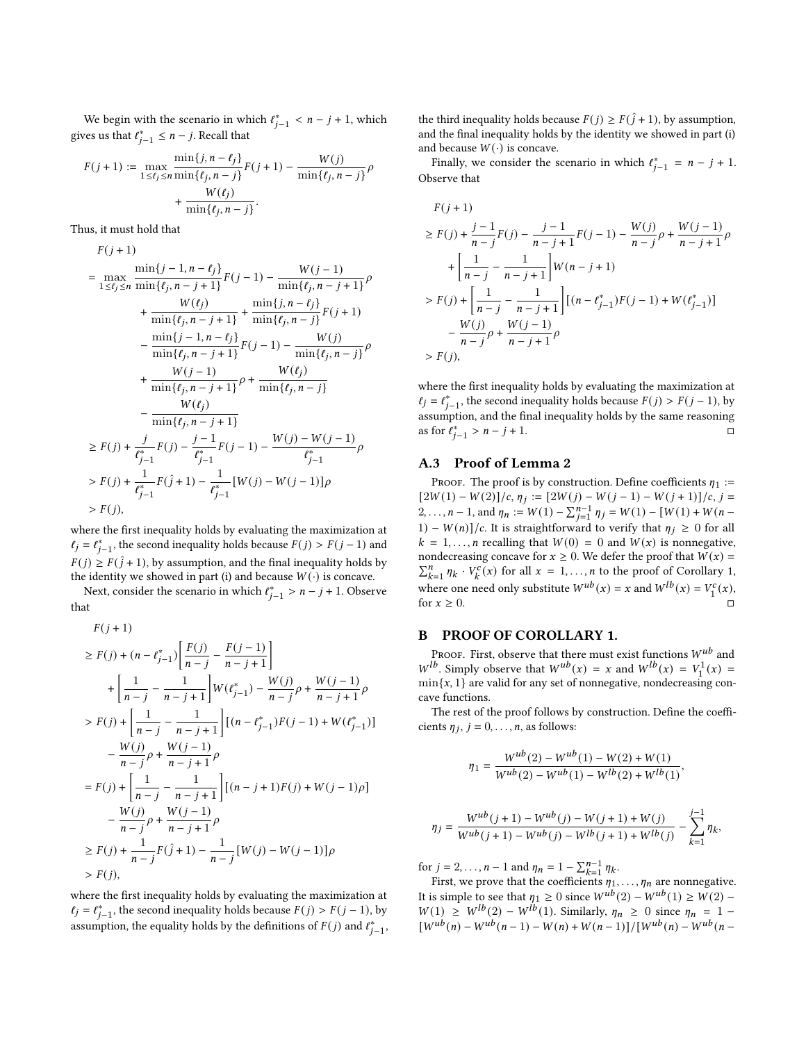We begin with the scenario in which  $\ell_{j-1}^* < n - j + 1$ , which gives us that  $\ell_{j-1}^* \leq n-j$ . Recall that

$$
\begin{aligned} F(j+1) &:= \max_{1\leq \ell_j\leq n}\frac{\min\{j,n-\ell_j\}}{\min\{\ell_j,n-j\}}F(j+1) - \frac{W(j)}{\min\{\ell_j,n-j\}}\rho\\ &\quad + \frac{W(\ell_j)}{\min\{\ell_j,n-j\}}. \end{aligned}
$$

Thus, it must hold that

$$
\begin{split} F(j+1) \\ = \max_{1 \leq \ell_j \leq n} \frac{\min\{j-1,n-\ell_j\}}{\min\{\ell_j,n-j+1\}} F(j-1) - \frac{W(j-1)}{\min\{\ell_j,n-j+1\}} \rho \\ + \frac{W(\ell_j)}{\min\{\ell_j,n-j+1\}} + \frac{\min\{j,n-\ell_j\}}{\min\{\ell_j,n-j\}} F(j+1) \\ - \frac{\min\{j-1,n-\ell_j\}}{\min\{\ell_j,n-j+1\}} F(j-1) - \frac{W(j)}{\min\{\ell_j,n-j\}} \rho \\ + \frac{W(j-1)}{\min\{\ell_j,n-j+1\}} \rho + \frac{W(\ell_j)}{\min\{\ell_j,n-j\}} \\ - \frac{W(\ell_j)}{\min\{\ell_j,n-j+1\}} \\ \geq F(j) + \frac{j}{\ell_{j-1}^*} F(j) - \frac{j-1}{\ell_{j-1}^*} F(j-1) - \frac{W(j)-W(j-1)}{\ell_{j-1}^*} \rho \\ > F(j) + \frac{1}{\ell_{j-1}^*} F(\hat{j}+1) - \frac{1}{\ell_{j-1}^*} [W(j)-W(j-1)] \rho \\ > F(j), \end{split}
$$

where the first inequality holds by evaluating the maximization at  $\ell_j = \ell_{j-1}^*$ , the second inequality holds because  $F(j) > F(j-1)$  and  $F(j) \geq F(\hat{j} + 1)$ , by assumption, and the final inequality holds by the identity we showed in part (i) and because  $W(\cdot)$  is concave.

Next, consider the scenario in which  $\ell_{j-1}^* > n - j + 1$ . Observe that

 $F(j + 1)$ 

$$
\geq F(j) + (n - \ell_{j-1}^*) \left[ \frac{F(j)}{n-j} - \frac{F(j-1)}{n-j+1} \right]
$$
  
+ 
$$
\left[ \frac{1}{n-j} - \frac{1}{n-j+1} \right] W(\ell_{j-1}^*) - \frac{W(j)}{n-j} \rho + \frac{W(j-1)}{n-j+1} \rho
$$
  
>  $F(j) + \left[ \frac{1}{n-j} - \frac{1}{n-j+1} \right] [(n - \ell_{j-1}^*)F(j-1) + W(\ell_{j-1}^*)]$   
- 
$$
\frac{W(j)}{n-j} \rho + \frac{W(j-1)}{n-j+1} \rho
$$
  
=  $F(j) + \left[ \frac{1}{n-j} - \frac{1}{n-j+1} \right] [(n-j+1)F(j) + W(j-1)\rho]$   
- 
$$
\frac{W(j)}{n-j} \rho + \frac{W(j-1)}{n-j+1} \rho
$$
  

$$
\geq F(j) + \frac{1}{n-j} F(\hat{j} + 1) - \frac{1}{n-j} [W(j) - W(j-1)] \rho
$$
  
>  $F(j),$ 

where the first inequality holds by evaluating the maximization at  $\ell_j = \ell_{j-1}^*$ , the second inequality holds because  $F(j) > F(j-1)$ , by assumption, the equality holds by the definitions of  $F(j)$  and  $\ell_{j-1}^*$ , the third inequality holds because  $F(j) \geq F(\hat{j} + 1)$ , by assumption, and the final inequality holds by the identity we showed in part (i) and because  $W(\cdot)$  is concave.

Finally, we consider the scenario in which  $\ell_{j-1}^* = n - j + 1$ . Observe that

$$
F(j+1)
$$
\n
$$
\geq F(j) + \frac{j-1}{n-j}F(j) - \frac{j-1}{n-j+1}F(j-1) - \frac{W(j)}{n-j}\rho + \frac{W(j-1)}{n-j+1}\rho
$$
\n
$$
+ \left[\frac{1}{n-j} - \frac{1}{n-j+1}\right]W(n-j+1)
$$
\n
$$
> F(j) + \left[\frac{1}{n-j} - \frac{1}{n-j+1}\right] \left[(n-\ell_{j-1}^*)F(j-1) + W(\ell_{j-1}^*)\right]
$$
\n
$$
- \frac{W(j)}{n-j}\rho + \frac{W(j-1)}{n-j+1}\rho
$$
\n
$$
> F(j),
$$

where the first inequality holds by evaluating the maximization at  $\ell_j = \ell_{j-1}^*$ , the second inequality holds because  $F(j) > F(j-1)$ , by assumption, and the final inequality holds by the same reasoning  $\frac{1}{2}$  as for  $\hat{l}_{j-1}^* > n - j + 1$ .

# A.3 Proof of Lemma [2](#page-4-1)

PROOF. The proof is by construction. Define coefficients  $\eta_1 :=$  $\left[\frac{2W(1) - W(2)}{c, \eta_i}\right] = \left[\frac{2W(j) - W(j-1) - W(j+1)}{c, j}\right]$ 2, ...,  $n-1$ , and  $\eta_n := W(1) - \sum_{j=1}^{n-1} \eta_j = W(1) - [W(1) + W(n-1)]$ 1) –  $W(n)/c$ . It is straightforward to verify that  $\eta_i \geq 0$  for all  $k = 1, \ldots, n$  recalling that  $W(0) = 0$  and  $W(x)$  is nonnegative, nondecreasing concave for  $x \ge 0$ . We defer the proof that  $W(x) =$  $\sum_{k=1}^{n} \eta_k \cdot V_k^c(x)$  for all  $x = 1, ..., n$  $x = 1, ..., n$  $x = 1, ..., n$  to the proof of Corollary 1, where one need only substitute  $W^{ub}(x) = x$  and  $W^{lb}(x) = V_1^c(x)$ , for  $x \geq 0$ .

#### B PROOF OF COROLLARY [1.](#page-5-1)

PROOF. First, observe that there must exist functions  $W^{ub}$  and  $W^{lb}$ . Simply observe that  $W^{ub}(x) = x$  and  $W^{lb}(x) = V_1^1(x) =$  $min{x, 1}$  are valid for any set of nonnegative, nondecreasing concave functions.

The rest of the proof follows by construction. Define the coefficients  $\eta_j$ ,  $j = 0, \ldots, n$ , as follows:

$$
\eta_1 = \frac{W^{ub}(2) - W^{ub}(1) - W(2) + W(1)}{W^{ub}(2) - W^{ub}(1) - W^{lb}(2) + W^{lb}(1)},
$$

$$
\eta_j = \frac{W^{ub}(j+1) - W^{ub}(j) - W(j+1) + W(j)}{W^{ub}(j+1) - W^{ub}(j) - W^{lb}(j+1) + W^{lb}(j)} - \sum_{k=1}^{j-1} \eta_k,
$$

for  $j = 2, ..., n - 1$  and  $\eta_n = 1 - \sum_{k=1}^{n-1} \eta_k$ .

First, we prove that the coefficients  $\eta_1, \ldots, \eta_n$  are nonnegative. It is simple to see that  $\eta_1 \ge 0$  since  $W^{ub}(2) - W^{ub}(1) \ge W(2) - W^{ab}(1)$  $W(1) \geq W^{1b}(2) - W^{1b}(1)$ . Similarly,  $\eta_n \geq 0$  since  $\eta_n = 1 [W^{ub}(n) - W^{ub}(n-1) - W(n) + W(n-1)] / [W^{ub}(n) - W^{ub}(n-1)]$